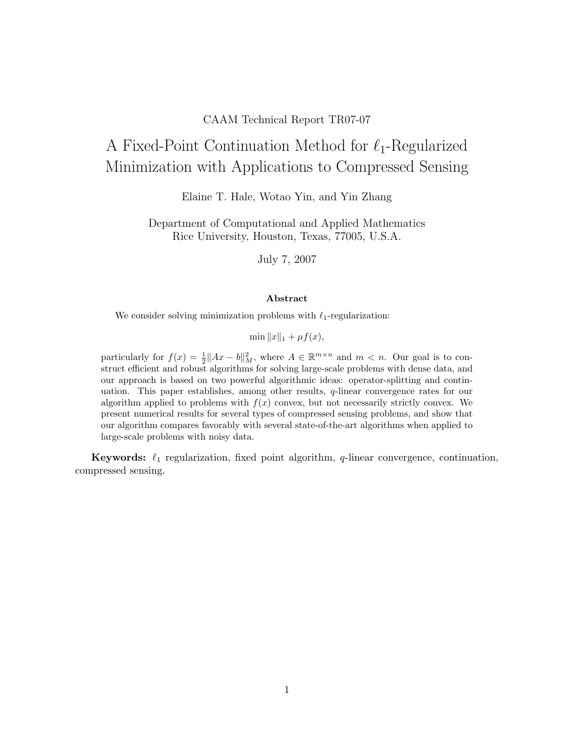### CAAM Technical Report TR07-07

# A Fixed-Point Continuation Method for  $\ell_1$ -Regularized Minimization with Applications to Compressed Sensing

Elaine T. Hale, Wotao Yin, and Yin Zhang

Department of Computational and Applied Mathematics Rice University, Houston, Texas, 77005, U.S.A.

July 7, 2007

#### Abstract

We consider solving minimization problems with  $\ell_1$ -regularization:

 $\min ||x||_1 + \mu f(x),$ 

particularly for  $f(x) = \frac{1}{2} ||Ax - b||_M^2$ , where  $A \in \mathbb{R}^{m \times n}$  and  $m < n$ . Our goal is to construct efficient and robust algorithms for solving large-scale problems with dense data, and our approach is based on two powerful algorithmic ideas: operator-splitting and continuation. This paper establishes, among other results, q-linear convergence rates for our algorithm applied to problems with  $f(x)$  convex, but not necessarily strictly convex. We present numerical results for several types of compressed sensing problems, and show that our algorithm compares favorably with several state-of-the-art algorithms when applied to large-scale problems with noisy data.

**Keywords:**  $\ell_1$  regularization, fixed point algorithm,  $q$ -linear convergence, continuation, compressed sensing.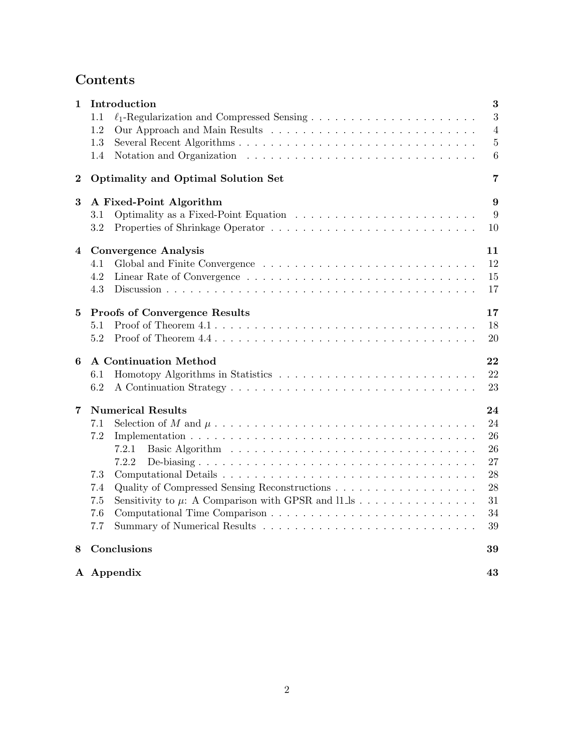## Contents

| 1        | Introduction                               | 3              |
|----------|--------------------------------------------|----------------|
|          | 1.1                                        | 3              |
|          | 1.2                                        | $\overline{4}$ |
|          | 1.3                                        | $\overline{5}$ |
|          | 1.4                                        | 6              |
| $\bf{2}$ | <b>Optimality and Optimal Solution Set</b> | 7              |
| 3        | A Fixed-Point Algorithm                    | 9              |
|          | 3.1                                        | 9              |
|          | 3.2                                        | 10             |
| 4        | <b>Convergence Analysis</b>                | 11             |
|          | 4.1                                        | 12             |
|          | 4.2                                        | 15             |
|          | 4.3                                        | 17             |
| 5        | <b>Proofs of Convergence Results</b>       | 17             |
|          | 5.1                                        | 18             |
|          | 5.2                                        | 20             |
| 6        | <b>A Continuation Method</b>               | 22             |
|          | 6.1                                        | 22             |
|          | 6.2                                        | 23             |
| 7        | <b>Numerical Results</b>                   | 24             |
|          | 7.1                                        | 24             |
|          | 7.2                                        | 26             |
|          | 7.2.1                                      | 26             |
|          | 7.2.2                                      | 27             |
|          | 7.3                                        | 28             |
|          | 7.4                                        | 28             |
|          | 7.5                                        | 31             |
|          | 7.6                                        | 34             |
|          | 7.7                                        | 39             |
| 8        | Conclusions                                | 39             |
|          | A Appendix                                 | 43             |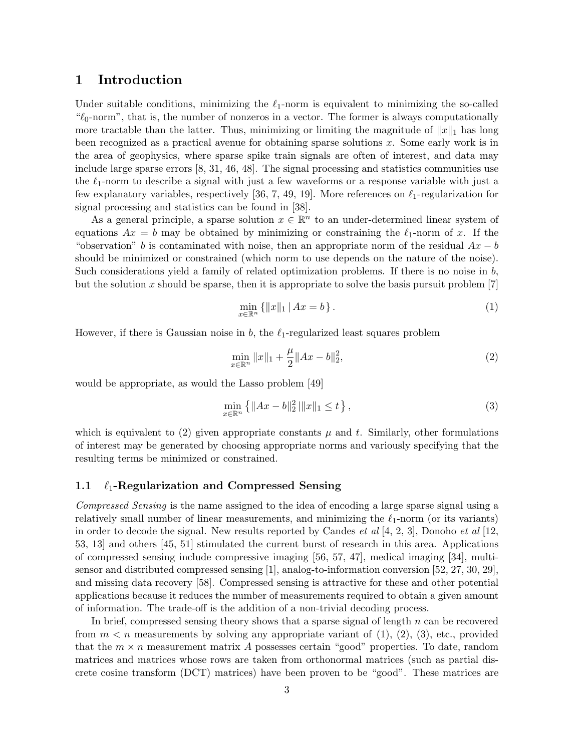## 1 Introduction

Under suitable conditions, minimizing the  $\ell_1$ -norm is equivalent to minimizing the so-called " $\ell_0$ -norm", that is, the number of nonzeros in a vector. The former is always computationally more tractable than the latter. Thus, minimizing or limiting the magnitude of  $||x||_1$  has long been recognized as a practical avenue for obtaining sparse solutions x. Some early work is in the area of geophysics, where sparse spike train signals are often of interest, and data may include large sparse errors [8, 31, 46, 48]. The signal processing and statistics communities use the  $\ell_1$ -norm to describe a signal with just a few waveforms or a response variable with just a few explanatory variables, respectively [36, 7, 49, 19]. More references on  $\ell_1$ -regularization for signal processing and statistics can be found in [38].

As a general principle, a sparse solution  $x \in \mathbb{R}^n$  to an under-determined linear system of equations  $Ax = b$  may be obtained by minimizing or constraining the  $\ell_1$ -norm of x. If the "observation" b is contaminated with noise, then an appropriate norm of the residual  $Ax - b$ should be minimized or constrained (which norm to use depends on the nature of the noise). Such considerations yield a family of related optimization problems. If there is no noise in b, but the solution x should be sparse, then it is appropriate to solve the basis pursuit problem  $[7]$ 

$$
\min_{x \in \mathbb{R}^n} \{ \|x\|_1 \, | \, Ax = b \} \,. \tag{1}
$$

However, if there is Gaussian noise in  $b$ , the  $\ell_1$ -regularized least squares problem

$$
\min_{x \in \mathbb{R}^n} \|x\|_1 + \frac{\mu}{2} \|Ax - b\|_2^2,\tag{2}
$$

would be appropriate, as would the Lasso problem [49]

$$
\min_{x \in \mathbb{R}^n} \left\{ \|Ax - b\|_2^2 \, \|x\|_1 \le t \right\},\tag{3}
$$

which is equivalent to (2) given appropriate constants  $\mu$  and t. Similarly, other formulations of interest may be generated by choosing appropriate norms and variously specifying that the resulting terms be minimized or constrained.

#### 1.1  $\ell_1$ -Regularization and Compressed Sensing

Compressed Sensing is the name assigned to the idea of encoding a large sparse signal using a relatively small number of linear measurements, and minimizing the  $\ell_1$ -norm (or its variants) in order to decode the signal. New results reported by Candes *et al* [4, 2, 3], Donoho *et al* [12, 53, 13] and others [45, 51] stimulated the current burst of research in this area. Applications of compressed sensing include compressive imaging [56, 57, 47], medical imaging [34], multisensor and distributed compressed sensing [1], analog-to-information conversion [52, 27, 30, 29], and missing data recovery [58]. Compressed sensing is attractive for these and other potential applications because it reduces the number of measurements required to obtain a given amount of information. The trade-off is the addition of a non-trivial decoding process.

In brief, compressed sensing theory shows that a sparse signal of length  $n$  can be recovered from  $m < n$  measurements by solving any appropriate variant of  $(1), (2), (3),$  etc., provided that the  $m \times n$  measurement matrix A possesses certain "good" properties. To date, random matrices and matrices whose rows are taken from orthonormal matrices (such as partial discrete cosine transform (DCT) matrices) have been proven to be "good". These matrices are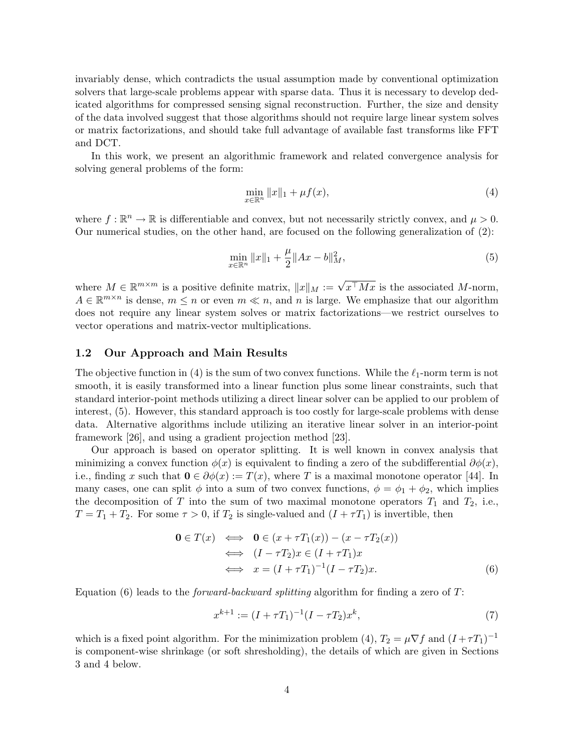invariably dense, which contradicts the usual assumption made by conventional optimization solvers that large-scale problems appear with sparse data. Thus it is necessary to develop dedicated algorithms for compressed sensing signal reconstruction. Further, the size and density of the data involved suggest that those algorithms should not require large linear system solves or matrix factorizations, and should take full advantage of available fast transforms like FFT and DCT.

In this work, we present an algorithmic framework and related convergence analysis for solving general problems of the form:

$$
\min_{x \in \mathbb{R}^n} \|x\|_1 + \mu f(x),\tag{4}
$$

where  $f : \mathbb{R}^n \to \mathbb{R}$  is differentiable and convex, but not necessarily strictly convex, and  $\mu > 0$ . Our numerical studies, on the other hand, are focused on the following generalization of (2):

$$
\min_{x \in \mathbb{R}^n} \|x\|_1 + \frac{\mu}{2} \|Ax - b\|_M^2,
$$
\n(5)

where  $M \in \mathbb{R}^{m \times m}$  is a positive definite matrix,  $||x||_M := \sqrt{x^{\top} M x}$  is the associated M-norm,  $A \in \mathbb{R}^{m \times n}$  is dense,  $m \leq n$  or even  $m \ll n$ , and n is large. We emphasize that our algorithm does not require any linear system solves or matrix factorizations—we restrict ourselves to vector operations and matrix-vector multiplications.

#### 1.2 Our Approach and Main Results

The objective function in (4) is the sum of two convex functions. While the  $\ell_1$ -norm term is not smooth, it is easily transformed into a linear function plus some linear constraints, such that standard interior-point methods utilizing a direct linear solver can be applied to our problem of interest, (5). However, this standard approach is too costly for large-scale problems with dense data. Alternative algorithms include utilizing an iterative linear solver in an interior-point framework [26], and using a gradient projection method [23].

Our approach is based on operator splitting. It is well known in convex analysis that minimizing a convex function  $\phi(x)$  is equivalent to finding a zero of the subdifferential  $\partial \phi(x)$ , i.e., finding x such that  $\mathbf{0} \in \partial \phi(x) := T(x)$ , where T is a maximal monotone operator [44]. In many cases, one can split  $\phi$  into a sum of two convex functions,  $\phi = \phi_1 + \phi_2$ , which implies the decomposition of T into the sum of two maximal monotone operators  $T_1$  and  $T_2$ , i.e.,  $T = T_1 + T_2$ . For some  $\tau > 0$ , if  $T_2$  is single-valued and  $(I + \tau T_1)$  is invertible, then

$$
\begin{aligned} \mathbf{0} \in T(x) &\iff \mathbf{0} \in (x + \tau T_1(x)) - (x - \tau T_2(x)) \\ &\iff (I - \tau T_2)x \in (I + \tau T_1)x \\ &\iff x = (I + \tau T_1)^{-1}(I - \tau T_2)x. \end{aligned} \tag{6}
$$

Equation  $(6)$  leads to the *forward-backward splitting* algorithm for finding a zero of T:

$$
x^{k+1} := (I + \tau T_1)^{-1} (I - \tau T_2) x^k, \tag{7}
$$

which is a fixed point algorithm. For the minimization problem (4),  $T_2 = \mu \nabla f$  and  $(I + \tau T_1)^{-1}$ is component-wise shrinkage (or soft shresholding), the details of which are given in Sections 3 and 4 below.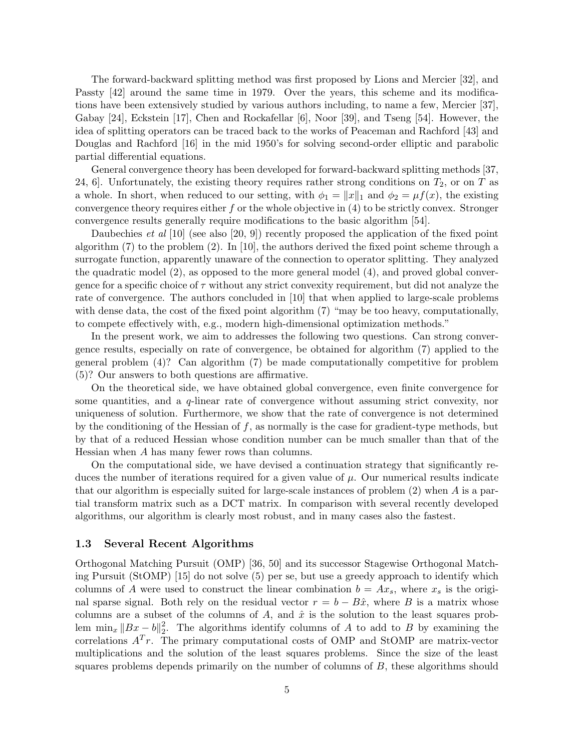The forward-backward splitting method was first proposed by Lions and Mercier [32], and Passty [42] around the same time in 1979. Over the years, this scheme and its modifications have been extensively studied by various authors including, to name a few, Mercier [37], Gabay [24], Eckstein [17], Chen and Rockafellar [6], Noor [39], and Tseng [54]. However, the idea of splitting operators can be traced back to the works of Peaceman and Rachford [43] and Douglas and Rachford [16] in the mid 1950's for solving second-order elliptic and parabolic partial differential equations.

General convergence theory has been developed for forward-backward splitting methods [37, 24, 6. Unfortunately, the existing theory requires rather strong conditions on  $T_2$ , or on T as a whole. In short, when reduced to our setting, with  $\phi_1 = ||x||_1$  and  $\phi_2 = \mu f(x)$ , the existing convergence theory requires either  $f$  or the whole objective in  $(4)$  to be strictly convex. Stronger convergence results generally require modifications to the basic algorithm [54].

Daubechies *et al* [10] (see also [20, 9]) recently proposed the application of the fixed point algorithm  $(7)$  to the problem  $(2)$ . In [10], the authors derived the fixed point scheme through a surrogate function, apparently unaware of the connection to operator splitting. They analyzed the quadratic model (2), as opposed to the more general model (4), and proved global convergence for a specific choice of  $\tau$  without any strict convexity requirement, but did not analyze the rate of convergence. The authors concluded in [10] that when applied to large-scale problems with dense data, the cost of the fixed point algorithm (7) "may be too heavy, computationally, to compete effectively with, e.g., modern high-dimensional optimization methods."

In the present work, we aim to addresses the following two questions. Can strong convergence results, especially on rate of convergence, be obtained for algorithm (7) applied to the general problem (4)? Can algorithm (7) be made computationally competitive for problem (5)? Our answers to both questions are affirmative.

On the theoretical side, we have obtained global convergence, even finite convergence for some quantities, and a q-linear rate of convergence without assuming strict convexity, nor uniqueness of solution. Furthermore, we show that the rate of convergence is not determined by the conditioning of the Hessian of  $f$ , as normally is the case for gradient-type methods, but by that of a reduced Hessian whose condition number can be much smaller than that of the Hessian when A has many fewer rows than columns.

On the computational side, we have devised a continuation strategy that significantly reduces the number of iterations required for a given value of  $\mu$ . Our numerical results indicate that our algorithm is especially suited for large-scale instances of problem  $(2)$  when A is a partial transform matrix such as a DCT matrix. In comparison with several recently developed algorithms, our algorithm is clearly most robust, and in many cases also the fastest.

#### 1.3 Several Recent Algorithms

Orthogonal Matching Pursuit (OMP) [36, 50] and its successor Stagewise Orthogonal Matching Pursuit (StOMP) [15] do not solve (5) per se, but use a greedy approach to identify which columns of A were used to construct the linear combination  $b = Ax_s$ , where  $x_s$  is the original sparse signal. Both rely on the residual vector  $r = b - B\hat{x}$ , where B is a matrix whose columns are a subset of the columns of A, and  $\hat{x}$  is the solution to the least squares problem  $\min_x \|Bx - b\|_2^2$  $2<sub>2</sub>$ . The algorithms identify columns of A to add to B by examining the correlations  $A<sup>T</sup>r$ . The primary computational costs of OMP and StOMP are matrix-vector multiplications and the solution of the least squares problems. Since the size of the least squares problems depends primarily on the number of columns of B, these algorithms should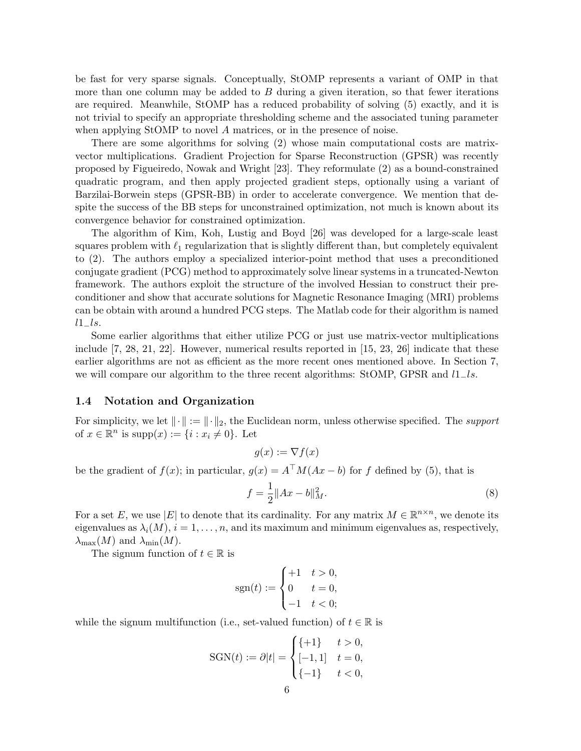be fast for very sparse signals. Conceptually, StOMP represents a variant of OMP in that more than one column may be added to  $B$  during a given iteration, so that fewer iterations are required. Meanwhile, StOMP has a reduced probability of solving (5) exactly, and it is not trivial to specify an appropriate thresholding scheme and the associated tuning parameter when applying StOMP to novel A matrices, or in the presence of noise.

There are some algorithms for solving (2) whose main computational costs are matrixvector multiplications. Gradient Projection for Sparse Reconstruction (GPSR) was recently proposed by Figueiredo, Nowak and Wright [23]. They reformulate (2) as a bound-constrained quadratic program, and then apply projected gradient steps, optionally using a variant of Barzilai-Borwein steps (GPSR-BB) in order to accelerate convergence. We mention that despite the success of the BB steps for unconstrained optimization, not much is known about its convergence behavior for constrained optimization.

The algorithm of Kim, Koh, Lustig and Boyd [26] was developed for a large-scale least squares problem with  $\ell_1$  regularization that is slightly different than, but completely equivalent to (2). The authors employ a specialized interior-point method that uses a preconditioned conjugate gradient (PCG) method to approximately solve linear systems in a truncated-Newton framework. The authors exploit the structure of the involved Hessian to construct their preconditioner and show that accurate solutions for Magnetic Resonance Imaging (MRI) problems can be obtain with around a hundred PCG steps. The Matlab code for their algorithm is named  $l1_{-}ls.$ 

Some earlier algorithms that either utilize PCG or just use matrix-vector multiplications include [7, 28, 21, 22]. However, numerical results reported in [15, 23, 26] indicate that these earlier algorithms are not as efficient as the more recent ones mentioned above. In Section 7, we will compare our algorithm to the three recent algorithms: StOMP, GPSR and  $l1_$ s.

#### 1.4 Notation and Organization

For simplicity, we let  $\|\cdot\| := \|\cdot\|_2$ , the Euclidean norm, unless otherwise specified. The *support* of  $x \in \mathbb{R}^n$  is supp $(x) := \{i : x_i \neq 0\}$ . Let

$$
g(x) := \nabla f(x)
$$

be the gradient of  $f(x)$ ; in particular,  $g(x) = A^{\top}M(Ax - b)$  for f defined by (5), that is

$$
f = \frac{1}{2} ||Ax - b||_M^2.
$$
 (8)

For a set E, we use |E| to denote that its cardinality. For any matrix  $M \in \mathbb{R}^{n \times n}$ , we denote its eigenvalues as  $\lambda_i(M)$ ,  $i = 1, \ldots, n$ , and its maximum and minimum eigenvalues as, respectively,  $\lambda_{\max}(M)$  and  $\lambda_{\min}(M)$ .

The signum function of  $t \in \mathbb{R}$  is

$$
sgn(t) := \begin{cases} +1 & t > 0, \\ 0 & t = 0, \\ -1 & t < 0; \end{cases}
$$

while the signum multifunction (i.e., set-valued function) of  $t \in \mathbb{R}$  is

$$
SGN(t) := \partial |t| = \begin{cases} \{+1\} & t > 0, \\ [-1, 1] & t = 0, \\ \{-1\} & t < 0, \end{cases}
$$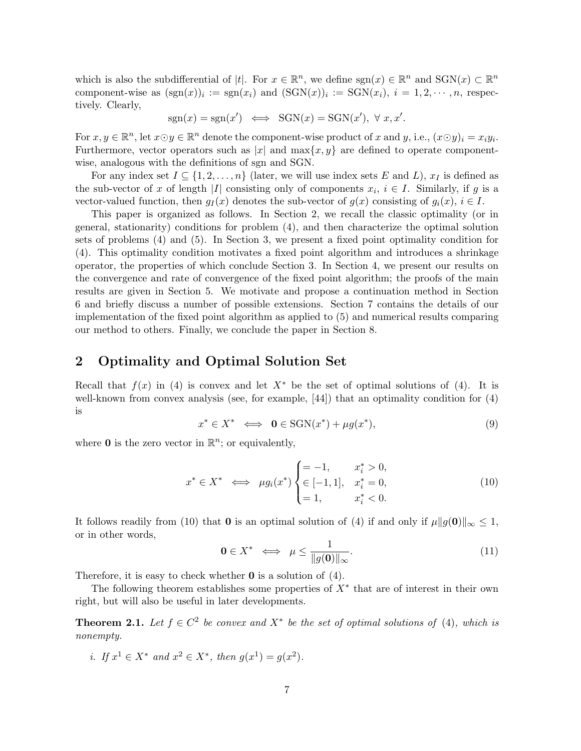which is also the subdifferential of |t|. For  $x \in \mathbb{R}^n$ , we define  $sgn(x) \in \mathbb{R}^n$  and  $SGN(x) \subset \mathbb{R}^n$ component-wise as  $(\text{sgn}(x))_i := \text{sgn}(x_i)$  and  $(\text{SGN}(x))_i := \text{SGN}(x_i)$ ,  $i = 1, 2, \dots, n$ , respectively. Clearly,

$$
sgn(x) = sgn(x') \iff SGN(x) = SGN(x'), \forall x, x'.
$$

For  $x, y \in \mathbb{R}^n$ , let  $x \odot y \in \mathbb{R}^n$  denote the component-wise product of x and y, i.e.,  $(x \odot y)_i = x_i y_i$ . Furthermore, vector operators such as |x| and  $\max\{x, y\}$  are defined to operate componentwise, analogous with the definitions of sgn and SGN.

For any index set  $I \subseteq \{1, 2, ..., n\}$  (later, we will use index sets E and L),  $x_I$  is defined as the sub-vector of x of length |I| consisting only of components  $x_i, i \in I$ . Similarly, if g is a vector-valued function, then  $g_I(x)$  denotes the sub-vector of  $g(x)$  consisting of  $g_i(x)$ ,  $i \in I$ .

This paper is organized as follows. In Section 2, we recall the classic optimality (or in general, stationarity) conditions for problem (4), and then characterize the optimal solution sets of problems (4) and (5). In Section 3, we present a fixed point optimality condition for (4). This optimality condition motivates a fixed point algorithm and introduces a shrinkage operator, the properties of which conclude Section 3. In Section 4, we present our results on the convergence and rate of convergence of the fixed point algorithm; the proofs of the main results are given in Section 5. We motivate and propose a continuation method in Section 6 and briefly discuss a number of possible extensions. Section 7 contains the details of our implementation of the fixed point algorithm as applied to (5) and numerical results comparing our method to others. Finally, we conclude the paper in Section 8.

## 2 Optimality and Optimal Solution Set

Recall that  $f(x)$  in (4) is convex and let  $X^*$  be the set of optimal solutions of (4). It is well-known from convex analysis (see, for example, [44]) that an optimality condition for (4) is

$$
x^* \in X^* \iff \mathbf{0} \in \text{SGN}(x^*) + \mu g(x^*), \tag{9}
$$

where **0** is the zero vector in  $\mathbb{R}^n$ ; or equivalently,

$$
x^* \in X^* \iff \mu g_i(x^*) \begin{cases} = -1, & x_i^* > 0, \\ \in [-1, 1], & x_i^* = 0, \\ = 1, & x_i^* < 0. \end{cases}
$$
 (10)

It follows readily from (10) that 0 is an optimal solution of (4) if and only if  $\mu \|g(\mathbf{0})\|_{\infty} \leq 1$ , or in other words,

$$
\mathbf{0} \in X^* \iff \mu \le \frac{1}{\|g(\mathbf{0})\|_{\infty}}.\tag{11}
$$

Therefore, it is easy to check whether  $\bf{0}$  is a solution of (4).

The following theorem establishes some properties of  $X^*$  that are of interest in their own right, but will also be useful in later developments.

**Theorem 2.1.** Let  $f \in C^2$  be convex and  $X^*$  be the set of optimal solutions of (4), which is nonempty.

*i.* If  $x^1 \in X^*$  and  $x^2 \in X^*$ , then  $g(x^1) = g(x^2)$ .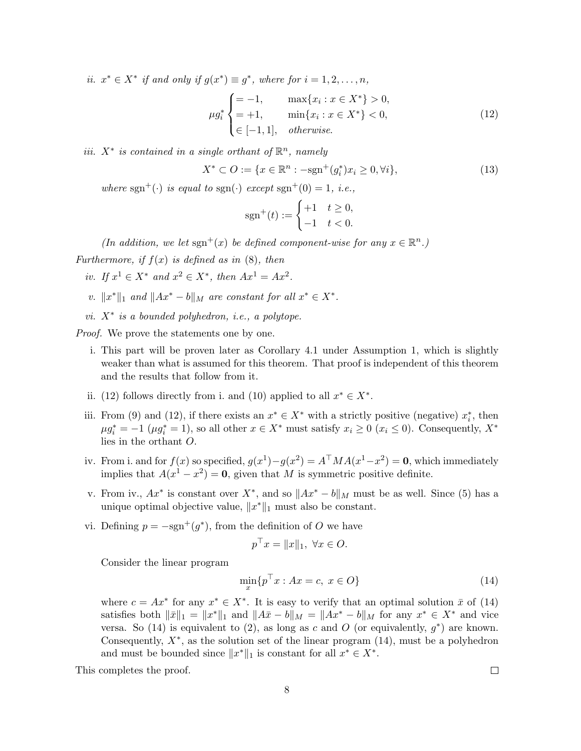ii.  $x^* \in X^*$  if and only if  $g(x^*) \equiv g^*$ , where for  $i = 1, 2, ..., n$ ,

$$
\mu g_i^* \begin{cases} = -1, & \max\{x_i : x \in X^*\} > 0, \\ = +1, & \min\{x_i : x \in X^*\} < 0, \\ \in [-1, 1], & \text{otherwise.} \end{cases} \tag{12}
$$

iii.  $X^*$  is contained in a single orthant of  $\mathbb{R}^n$ , namely

$$
X^* \subset O := \{ x \in \mathbb{R}^n : -\text{sgn}^+(g_i^*) x_i \ge 0, \forall i \},\tag{13}
$$

where sgn<sup>+</sup>(·) is equal to sgn(·) except sgn<sup>+</sup>(0) = 1, i.e.,

$$
sgn^{+}(t) := \begin{cases} +1 & t \geq 0, \\ -1 & t < 0. \end{cases}
$$

(In addition, we let sgn<sup>+</sup>(x) be defined component-wise for any  $x \in \mathbb{R}^n$ .)

Furthermore, if  $f(x)$  is defined as in  $(8)$ , then

- iv. If  $x^1 \in X^*$  and  $x^2 \in X^*$ , then  $Ax^1 = Ax^2$ .
- v.  $||x^*||_1$  and  $||Ax^* b||_M$  are constant for all  $x^* \in X^*$ .
- vi.  $X^*$  is a bounded polyhedron, i.e., a polytope.

*Proof.* We prove the statements one by one.

- i. This part will be proven later as Corollary 4.1 under Assumption 1, which is slightly weaker than what is assumed for this theorem. That proof is independent of this theorem and the results that follow from it.
- ii. (12) follows directly from i. and (10) applied to all  $x^* \in X^*$ .
- iii. From (9) and (12), if there exists an  $x^* \in X^*$  with a strictly positive (negative)  $x_i^*$ , then  $\mu g_i^* = -1$   $(\mu g_i^* = 1)$ , so all other  $x \in X^*$  must satisfy  $x_i \geq 0$   $(x_i \leq 0)$ . Consequently,  $X^*$ lies in the orthant O.
- iv. From i. and for  $f(x)$  so specified,  $g(x^1) g(x^2) = A^{\top} M A(x^1 x^2) = 0$ , which immediately implies that  $A(x^1 - x^2) = 0$ , given that M is symmetric positive definite.
- v. From iv.,  $Ax^*$  is constant over  $X^*$ , and so  $||Ax^* b||_M$  must be as well. Since (5) has a unique optimal objective value,  $||x^*||_1$  must also be constant.
- vi. Defining  $p = -sgn^+(g^*)$ , from the definition of O we have

$$
p^{\top} x = ||x||_1, \ \forall x \in O.
$$

Consider the linear program

$$
\min_{x} \{ p^{\top} x : Ax = c, \ x \in O \}
$$
\n<sup>(14)</sup>

where  $c = Ax^*$  for any  $x^* \in X^*$ . It is easy to verify that an optimal solution  $\bar{x}$  of (14) satisfies both  $\|\bar{x}\|_1 = \|x^*\|_1$  and  $\|A\bar{x} - b\|_M = \|Ax^* - b\|_M$  for any  $x^* \in X^*$  and vice versa. So (14) is equivalent to (2), as long as c and O (or equivalently,  $g^*$ ) are known. Consequently,  $X^*$ , as the solution set of the linear program  $(14)$ , must be a polyhedron and must be bounded since  $||x^*||_1$  is constant for all  $x^* \in X^*$ .

This completes the proof.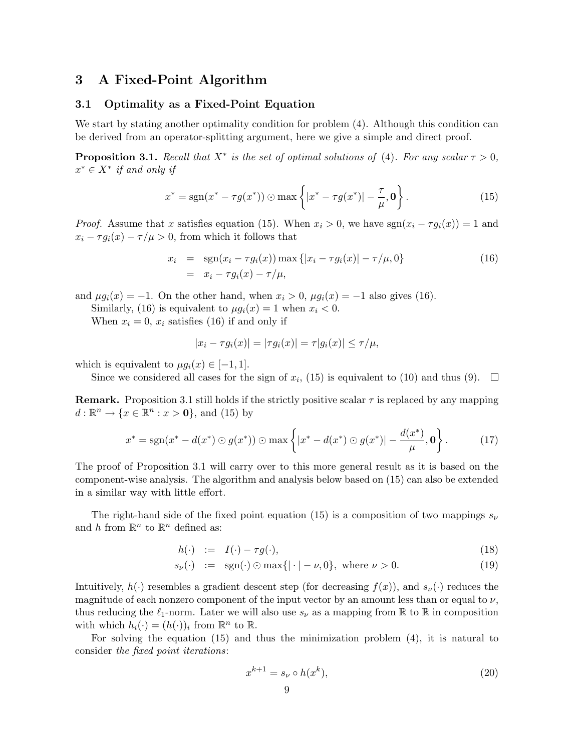## 3 A Fixed-Point Algorithm

#### 3.1 Optimality as a Fixed-Point Equation

We start by stating another optimality condition for problem  $(4)$ . Although this condition can be derived from an operator-splitting argument, here we give a simple and direct proof.

**Proposition 3.1.** Recall that  $X^*$  is the set of optimal solutions of (4). For any scalar  $\tau > 0$ ,  $x^* \in X^*$  if and only if

$$
x^* = \text{sgn}(x^* - \tau g(x^*)) \odot \max\left\{|x^* - \tau g(x^*)| - \frac{\tau}{\mu}, \mathbf{0}\right\}.
$$
 (15)

*Proof.* Assume that x satisfies equation (15). When  $x_i > 0$ , we have  $sgn(x_i - \tau g_i(x)) = 1$  and  $x_i - \tau g_i(x) - \tau/\mu > 0$ , from which it follows that

$$
x_i = \text{sgn}(x_i - \tau g_i(x)) \max\{|x_i - \tau g_i(x)| - \tau/\mu, 0\}
$$
  
=  $x_i - \tau g_i(x) - \tau/\mu,$  (16)

and  $\mu g_i(x) = -1$ . On the other hand, when  $x_i > 0$ ,  $\mu g_i(x) = -1$  also gives (16).

Similarly, (16) is equivalent to  $\mu g_i(x) = 1$  when  $x_i < 0$ .

When  $x_i = 0$ ,  $x_i$  satisfies (16) if and only if

$$
|x_i - \tau g_i(x)| = |\tau g_i(x)| = \tau |g_i(x)| \le \tau / \mu,
$$

which is equivalent to  $\mu g_i(x) \in [-1, 1]$ .

Since we considered all cases for the sign of  $x_i$ , (15) is equivalent to (10) and thus (9).

**Remark.** Proposition 3.1 still holds if the strictly positive scalar  $\tau$  is replaced by any mapping  $d: \mathbb{R}^n \to \{x \in \mathbb{R}^n : x > 0\}$ , and (15) by

$$
x^* = \text{sgn}(x^* - d(x^*) \odot g(x^*)) \odot \max\left\{|x^* - d(x^*) \odot g(x^*)| - \frac{d(x^*)}{\mu}, \mathbf{0}\right\}.
$$
 (17)

The proof of Proposition 3.1 will carry over to this more general result as it is based on the component-wise analysis. The algorithm and analysis below based on (15) can also be extended in a similar way with little effort.

The right-hand side of the fixed point equation (15) is a composition of two mappings  $s_{\nu}$ and h from  $\mathbb{R}^n$  to  $\mathbb{R}^n$  defined as:

$$
h(\cdot) \quad := \quad I(\cdot) - \tau g(\cdot), \tag{18}
$$

$$
s_{\nu}(\cdot) \quad := \quad \text{sgn}(\cdot) \odot \max\{|\cdot| - \nu, 0\}, \text{ where } \nu > 0. \tag{19}
$$

Intuitively,  $h(\cdot)$  resembles a gradient descent step (for decreasing  $f(x)$ ), and  $s_{\nu}(\cdot)$  reduces the magnitude of each nonzero component of the input vector by an amount less than or equal to  $\nu$ , thus reducing the  $\ell_1$ -norm. Later we will also use  $s_\nu$  as a mapping from R to R in composition with which  $h_i(\cdot) = (h(\cdot))_i$  from  $\mathbb{R}^n$  to  $\mathbb{R}$ .

For solving the equation (15) and thus the minimization problem (4), it is natural to consider the fixed point iterations:

$$
x^{k+1} = s_{\nu} \circ h(x^k),\tag{20}
$$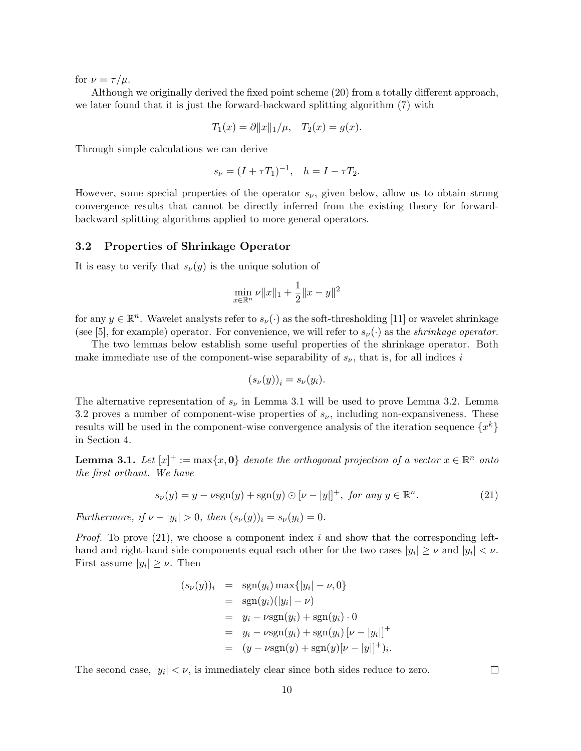for  $\nu = \tau/\mu$ .

Although we originally derived the fixed point scheme (20) from a totally different approach, we later found that it is just the forward-backward splitting algorithm (7) with

$$
T_1(x) = \partial ||x||_1/\mu, \quad T_2(x) = g(x).
$$

Through simple calculations we can derive

$$
s_{\nu} = (I + \tau T_1)^{-1}, \quad h = I - \tau T_2.
$$

However, some special properties of the operator  $s_{\nu}$ , given below, allow us to obtain strong convergence results that cannot be directly inferred from the existing theory for forwardbackward splitting algorithms applied to more general operators.

#### 3.2 Properties of Shrinkage Operator

It is easy to verify that  $s_{\nu}(y)$  is the unique solution of

$$
\min_{x \in \mathbb{R}^n} \nu ||x||_1 + \frac{1}{2} ||x - y||^2
$$

for any  $y \in \mathbb{R}^n$ . Wavelet analysts refer to  $s_{\nu}(\cdot)$  as the soft-thresholding [11] or wavelet shrinkage (see [5], for example) operator. For convenience, we will refer to  $s_{\nu}(\cdot)$  as the *shrinkage operator*.

The two lemmas below establish some useful properties of the shrinkage operator. Both make immediate use of the component-wise separability of  $s_{\nu}$ , that is, for all indices i

$$
(s_{\nu}(y))_i = s_{\nu}(y_i).
$$

The alternative representation of  $s_{\nu}$  in Lemma 3.1 will be used to prove Lemma 3.2. Lemma 3.2 proves a number of component-wise properties of  $s_{\nu}$ , including non-expansiveness. These results will be used in the component-wise convergence analysis of the iteration sequence  $\{x^k\}$ in Section 4.

**Lemma 3.1.** Let  $[x]^+ := max\{x, 0\}$  denote the orthogonal projection of a vector  $x \in \mathbb{R}^n$  onto the first orthant. We have

$$
s_{\nu}(y) = y - \nu \operatorname{sgn}(y) + \operatorname{sgn}(y) \odot [\nu - |y|]^{+}, \text{ for any } y \in \mathbb{R}^{n}.
$$
 (21)

Furthermore, if  $\nu - |y_i| > 0$ , then  $(s_{\nu}(y))_i = s_{\nu}(y_i) = 0$ .

*Proof.* To prove (21), we choose a component index i and show that the corresponding lefthand and right-hand side components equal each other for the two cases  $|y_i| \geq \nu$  and  $|y_i| < \nu$ . First assume  $|y_i| \geq \nu$ . Then

$$
(s_{\nu}(y))_i = \text{sgn}(y_i) \max\{|y_i| - \nu, 0\}
$$
  
=  $\text{sgn}(y_i)(|y_i| - \nu)$   
=  $y_i - \nu \text{sgn}(y_i) + \text{sgn}(y_i) \cdot 0$   
=  $y_i - \nu \text{sgn}(y_i) + \text{sgn}(y_i) [\nu - |y_i|]^+$   
=  $(y - \nu \text{sgn}(y) + \text{sgn}(y)[\nu - |y|]^+)_i$ .

The second case,  $|y_i| < \nu$ , is immediately clear since both sides reduce to zero.

 $\Box$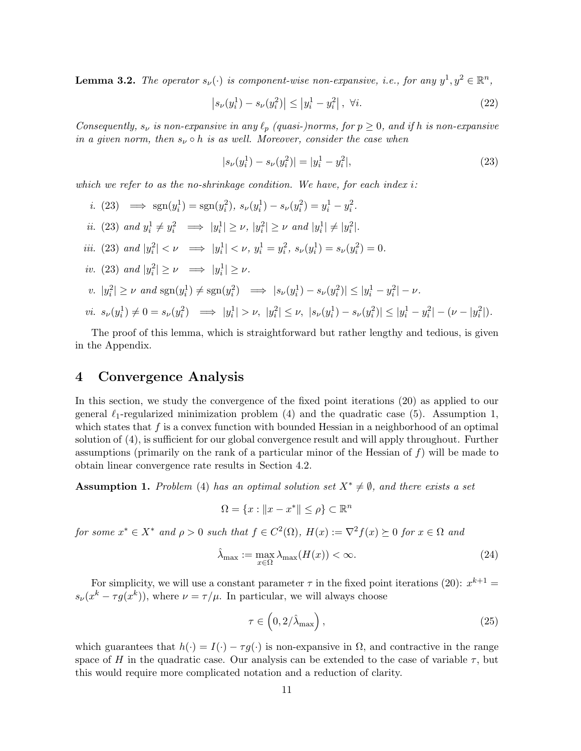**Lemma 3.2.** The operator  $s_{\nu}(\cdot)$  is component-wise non-expansive, i.e., for any  $y^{1}, y^{2} \in \mathbb{R}^{n}$ ,

$$
\left| s_{\nu}(y_i^1) - s_{\nu}(y_i^2) \right| \le |y_i^1 - y_i^2|, \ \forall i. \tag{22}
$$

Consequently,  $s_{\nu}$  is non-expansive in any  $\ell_p$  (quasi-)norms, for  $p \geq 0$ , and if h is non-expansive in a given norm, then  $s_{\nu} \circ h$  is as well. Moreover, consider the case when

$$
|s_{\nu}(y_i^1) - s_{\nu}(y_i^2)| = |y_i^1 - y_i^2|,
$$
\n(23)

which we refer to as the no-shrinkage condition. We have, for each index  $i$ :

i. (23)  $\implies$  sgn( $y_i^1$ ) = sgn( $y_i^2$ ),  $s_\nu(y_i^1) - s_\nu(y_i^2) = y_i^1 - y_i^2$ . *ii.* (23) and  $y_i^1 \neq y_i^2 \implies |y_i^1| \geq \nu$ ,  $|y_i^2| \geq \nu$  and  $|y_i^1| \neq |y_i^2|$ . iii. (23) and  $|y_i^2| < \nu \implies |y_i^1| < \nu$ ,  $y_i^1 = y_i^2$ ,  $s_{\nu}(y_i^1) = s_{\nu}(y_i^2) = 0$ . iv. (23) and  $|y_i^2| \ge \nu \implies |y_i^1| \ge \nu$ .  $v \colon |y_i^2| \ge \nu \text{ and } \text{sgn}(y_i^1) \ne \text{sgn}(y_i^2) \implies |s_{\nu}(y_i^1) - s_{\nu}(y_i^2)| \le |y_i^1 - y_i^2| - \nu.$  $vi. s_{\nu}(y_i^1) \neq 0 = s_{\nu}(y_i^2) \implies |y_i^1| > \nu, \ |y_i^2| \leq \nu, \ |s_{\nu}(y_i^1) - s_{\nu}(y_i^2)| \leq |y_i^1 - y_i^2| - (\nu - |y_i^2|).$ 

The proof of this lemma, which is straightforward but rather lengthy and tedious, is given in the Appendix.

## 4 Convergence Analysis

In this section, we study the convergence of the fixed point iterations (20) as applied to our general  $\ell_1$ -regularized minimization problem (4) and the quadratic case (5). Assumption 1, which states that  $f$  is a convex function with bounded Hessian in a neighborhood of an optimal solution of (4), is sufficient for our global convergence result and will apply throughout. Further assumptions (primarily on the rank of a particular minor of the Hessian of  $f$ ) will be made to obtain linear convergence rate results in Section 4.2.

**Assumption 1.** Problem (4) has an optimal solution set  $X^* \neq \emptyset$ , and there exists a set

$$
\Omega = \{x : ||x - x^*|| \le \rho\} \subset \mathbb{R}^n
$$

for some  $x^* \in X^*$  and  $\rho > 0$  such that  $f \in C^2(\Omega)$ ,  $H(x) := \nabla^2 f(x) \succeq 0$  for  $x \in \Omega$  and

$$
\hat{\lambda}_{\max} := \max_{x \in \Omega} \lambda_{\max}(H(x)) < \infty. \tag{24}
$$

For simplicity, we will use a constant parameter  $\tau$  in the fixed point iterations (20):  $x^{k+1} =$  $s_{\nu}(x^k - \tau g(x^k))$ , where  $\nu = \tau/\mu$ . In particular, we will always choose

$$
\tau \in \left(0, 2/\hat{\lambda}_{\text{max}}\right),\tag{25}
$$

which guarantees that  $h(\cdot) = I(\cdot) - \tau g(\cdot)$  is non-expansive in  $\Omega$ , and contractive in the range space of H in the quadratic case. Our analysis can be extended to the case of variable  $\tau$ , but this would require more complicated notation and a reduction of clarity.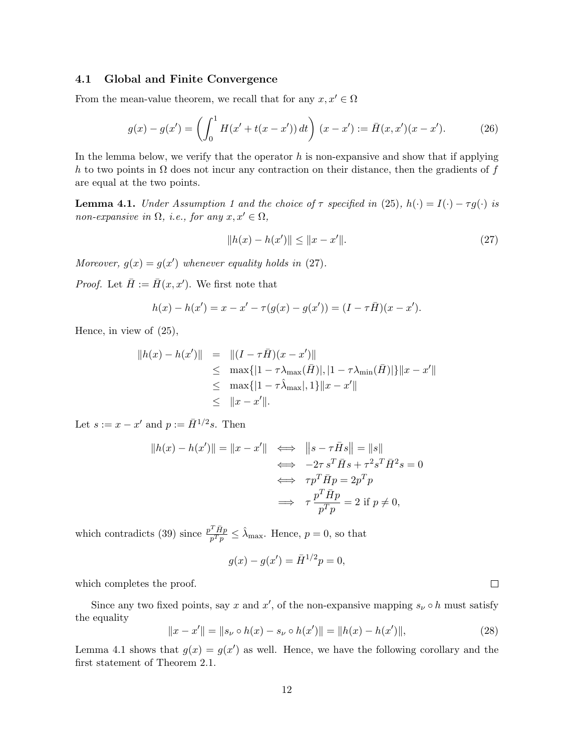#### 4.1 Global and Finite Convergence

From the mean-value theorem, we recall that for any  $x, x' \in \Omega$ 

$$
g(x) - g(x') = \left(\int_0^1 H(x' + t(x - x')) dt\right) (x - x') := \bar{H}(x, x')(x - x'). \tag{26}
$$

In the lemma below, we verify that the operator  $h$  is non-expansive and show that if applying h to two points in  $\Omega$  does not incur any contraction on their distance, then the gradients of f are equal at the two points.

**Lemma 4.1.** Under Assumption 1 and the choice of  $\tau$  specified in (25),  $h(\cdot) = I(\cdot) - \tau g(\cdot)$  is non-expansive in  $\Omega$ , i.e., for any  $x, x' \in \Omega$ ,

$$
||h(x) - h(x')|| \le ||x - x'||. \tag{27}
$$

Moreover,  $g(x) = g(x')$  whenever equality holds in (27).

*Proof.* Let  $\bar{H} := \bar{H}(x, x')$ . We first note that

$$
h(x) - h(x') = x - x' - \tau(g(x) - g(x')) = (I - \tau \bar{H})(x - x').
$$

Hence, in view of (25),

$$
||h(x) - h(x')|| = ||(I - \tau \bar{H})(x - x')||
$$
  
\n
$$
\leq \max\{|1 - \tau \lambda_{\max}(\bar{H})|, |1 - \tau \lambda_{\min}(\bar{H})|\} ||x - x'||
$$
  
\n
$$
\leq \max\{|1 - \tau \lambda_{\max}|, 1\} ||x - x'||
$$
  
\n
$$
\leq ||x - x'||.
$$

Let  $s := x - x'$  and  $p := \overline{H}^{1/2}s$ . Then

$$
||h(x) - h(x')|| = ||x - x'|| \iff ||s - \tau \bar{H}s|| = ||s||
$$
  

$$
\iff -2\tau s^T \bar{H}s + \tau^2 s^T \bar{H}^2 s = 0
$$
  

$$
\iff \tau p^T \bar{H}p = 2p^T p
$$
  

$$
\iff \tau \frac{p^T \bar{H}p}{p^T p} = 2 \text{ if } p \neq 0,
$$

which contradicts (39) since  $\frac{p^T \bar{H} p}{pT p}$  $\frac{T\bar{H}p}{p^Tp} \leq \hat{\lambda}_{\max}$ . Hence,  $p = 0$ , so that

$$
g(x) - g(x') = \bar{H}^{1/2}p = 0,
$$

which completes the proof.

Since any two fixed points, say x and x', of the non-expansive mapping  $s_{\nu} \circ h$  must satisfy the equality

$$
||x - x'|| = ||s_{\nu} \circ h(x) - s_{\nu} \circ h(x')|| = ||h(x) - h(x')||,
$$
\n(28)

Lemma 4.1 shows that  $g(x) = g(x')$  as well. Hence, we have the following corollary and the first statement of Theorem 2.1.

 $\Box$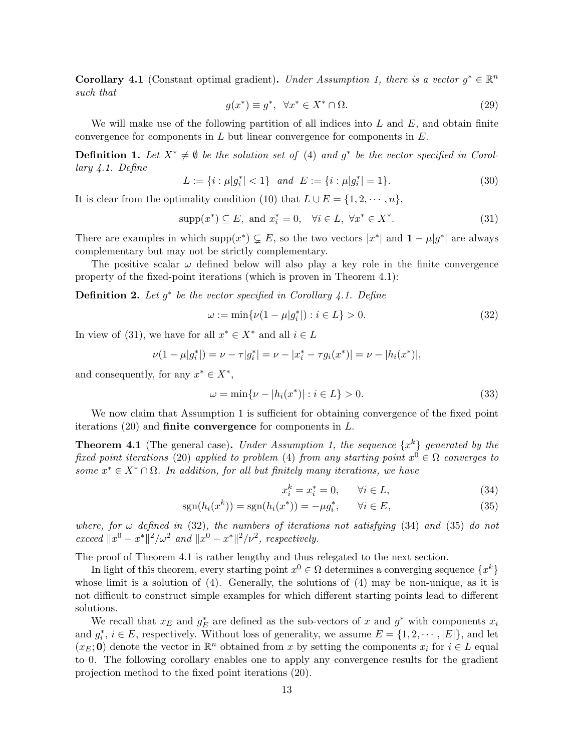**Corollary 4.1** (Constant optimal gradient). Under Assumption 1, there is a vector  $g^* \in \mathbb{R}^n$ such that

$$
g(x^*) \equiv g^*, \quad \forall x^* \in X^* \cap \Omega. \tag{29}
$$

We will make use of the following partition of all indices into  $L$  and  $E$ , and obtain finite convergence for components in  $L$  but linear convergence for components in  $E$ .

**Definition 1.** Let  $X^* \neq \emptyset$  be the solution set of (4) and  $g^*$  be the vector specified in Corollary 4.1. Define

$$
L := \{ i : \mu |g_i^*| < 1 \} \quad and \quad E := \{ i : \mu |g_i^*| = 1 \}. \tag{30}
$$

It is clear from the optimality condition (10) that  $L \cup E = \{1, 2, \dots, n\}$ ,

$$
supp(x^*) \subseteq E, \text{ and } x_i^* = 0, \quad \forall i \in L, \ \forall x^* \in X^*.
$$
 (31)

There are examples in which supp $(x^*) \subsetneq E$ , so the two vectors  $|x^*|$  and  $1 - \mu|g^*|$  are always complementary but may not be strictly complementary.

The positive scalar  $\omega$  defined below will also play a key role in the finite convergence property of the fixed-point iterations (which is proven in Theorem 4.1):

**Definition 2.** Let  $g^*$  be the vector specified in Corollary 4.1. Define

$$
\omega := \min \{ \nu (1 - \mu |g_i^*|) : i \in L \} > 0. \tag{32}
$$

In view of (31), we have for all  $x^* \in X^*$  and all  $i \in L$ 

$$
\nu(1-\mu|g_i^*|) = \nu - \tau|g_i^*| = \nu - |x_i^* - \tau g_i(x^*)| = \nu - |h_i(x^*)|,
$$

and consequently, for any  $x^* \in X^*$ ,

$$
\omega = \min\{\nu - |h_i(x^*)| : i \in L\} > 0.
$$
\n(33)

We now claim that Assumption 1 is sufficient for obtaining convergence of the fixed point iterations  $(20)$  and **finite convergence** for components in L.

**Theorem 4.1** (The general case). Under Assumption 1, the sequence  $\{x^k\}$  generated by the fixed point iterations (20) applied to problem (4) from any starting point  $x^0 \in \Omega$  converges to some  $x^* \in X^* \cap \Omega$ . In addition, for all but finitely many iterations, we have

$$
x_i^k = x_i^* = 0, \qquad \forall i \in L,
$$
\n
$$
(34)
$$

$$
sgn(h_i(x^k)) = sgn(h_i(x^*)) = -\mu g_i^*, \qquad \forall i \in E,
$$
\n
$$
(35)
$$

where, for  $\omega$  defined in (32), the numbers of iterations not satisfying (34) and (35) do not exceed  $||x^0 - x^*||^2/\omega^2$  and  $||x^0 - x^*||^2/\nu^2$ , respectively.

The proof of Theorem 4.1 is rather lengthy and thus relegated to the next section.

In light of this theorem, every starting point  $x^0 \in \Omega$  determines a converging sequence  $\{x^k\}$ whose limit is a solution of  $(4)$ . Generally, the solutions of  $(4)$  may be non-unique, as it is not difficult to construct simple examples for which different starting points lead to different solutions.

We recall that  $x_E$  and  $g_E^*$  are defined as the sub-vectors of x and  $g^*$  with components  $x_i$ and  $g_i^*, i \in E$ , respectively. Without loss of generality, we assume  $E = \{1, 2, \dots, |E|\}$ , and let  $(x<sub>E</sub>; 0)$  denote the vector in  $\mathbb{R}^n$  obtained from x by setting the components  $x_i$  for  $i \in L$  equal to 0. The following corollary enables one to apply any convergence results for the gradient projection method to the fixed point iterations (20).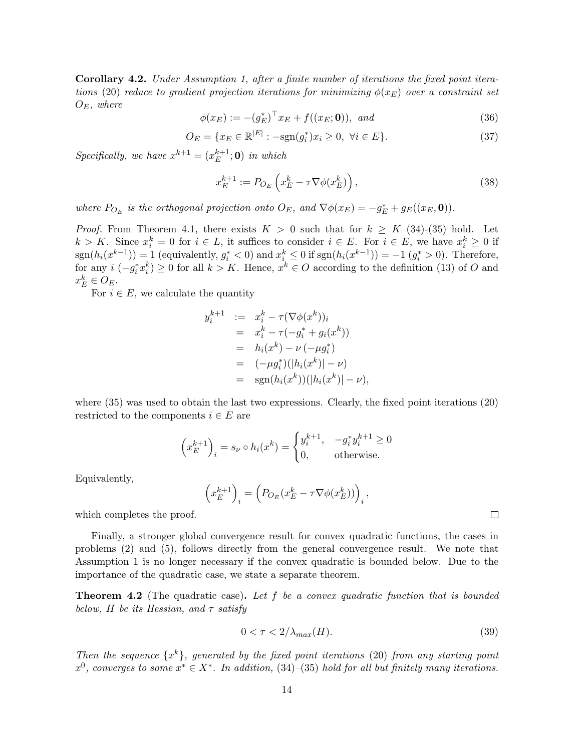Corollary 4.2. Under Assumption 1, after a finite number of iterations the fixed point iterations (20) reduce to gradient projection iterations for minimizing  $\phi(x_E)$  over a constraint set  $O_E$ , where

 $\phi(x_E) := -(g_E^*)^\top x_E + f((x_E; \mathbf{0})), \text{ and}$ (36)

$$
O_E = \{ x_E \in \mathbb{R}^{|E|} : -\text{sgn}(g_i^*) x_i \ge 0, \ \forall i \in E \}. \tag{37}
$$

Specifically, we have  $x^{k+1} = (x_E^{k+1})$  $_{E}^{k+1}$ ; **0**) in which

$$
x_E^{k+1} := P_{O_E} \left( x_E^k - \tau \nabla \phi(x_E^k) \right),\tag{38}
$$

where  $P_{O_E}$  is the orthogonal projection onto  $O_E$ , and  $\nabla \phi(x_E) = -g_E^* + g_E((x_E, \mathbf{0}))$ .

*Proof.* From Theorem 4.1, there exists  $K > 0$  such that for  $k \geq K$  (34)-(35) hold. Let  $k > K$ . Since  $x_i^k = 0$  for  $i \in L$ , it suffices to consider  $i \in E$ . For  $i \in E$ , we have  $x_i^k \geq 0$  if  $sgn(h_i(x^{k-1})) = 1$  (equivalently,  $g_i^* < 0$ ) and  $x_i^k \leq 0$  if  $sgn(h_i(x^{k-1})) = -1$   $(g_i^* > 0)$ . Therefore, for any  $i(-g_i^*x_i^k) \ge 0$  for all  $k > K$ . Hence,  $x^k \in O$  according to the definition (13) of O and  $x_E^k \in O_E$ .

For  $i \in E$ , we calculate the quantity

$$
y_i^{k+1} := x_i^k - \tau(\nabla\phi(x^k))_i
$$
  
=  $x_i^k - \tau(-g_i^* + g_i(x^k))$   
=  $h_i(x^k) - \nu(-\mu g_i^*)$   
=  $(-\mu g_i^*)(|h_i(x^k)| - \nu)$   
=  $sgn(h_i(x^k))(|h_i(x^k)| - \nu),$ 

where (35) was used to obtain the last two expressions. Clearly, the fixed point iterations (20) restricted to the components  $i \in E$  are

$$
\left(x_E^{k+1}\right)_i = s_\nu \circ h_i(x^k) = \begin{cases} y_i^{k+1}, & -g_i^* y_i^{k+1} \ge 0\\ 0, & \text{otherwise.} \end{cases}
$$

Equivalently,

$$
\left(x_E^{k+1}\right)_i = \left(P_{O_E}(x_E^k - \tau \nabla \phi(x_E^k))\right)_i
$$

which completes the proof.

Finally, a stronger global convergence result for convex quadratic functions, the cases in problems (2) and (5), follows directly from the general convergence result. We note that Assumption 1 is no longer necessary if the convex quadratic is bounded below. Due to the importance of the quadratic case, we state a separate theorem.

**Theorem 4.2** (The quadratic case). Let f be a convex quadratic function that is bounded below, H be its Hessian, and  $\tau$  satisfy

$$
0 < \tau < 2/\lambda_{max}(H). \tag{39}
$$

,

Then the sequence  $\{x^k\}$ , generated by the fixed point iterations (20) from any starting point  $x^0$ , converges to some  $x^* \in X^*$ . In addition, (34)–(35) hold for all but finitely many iterations.

 $\Box$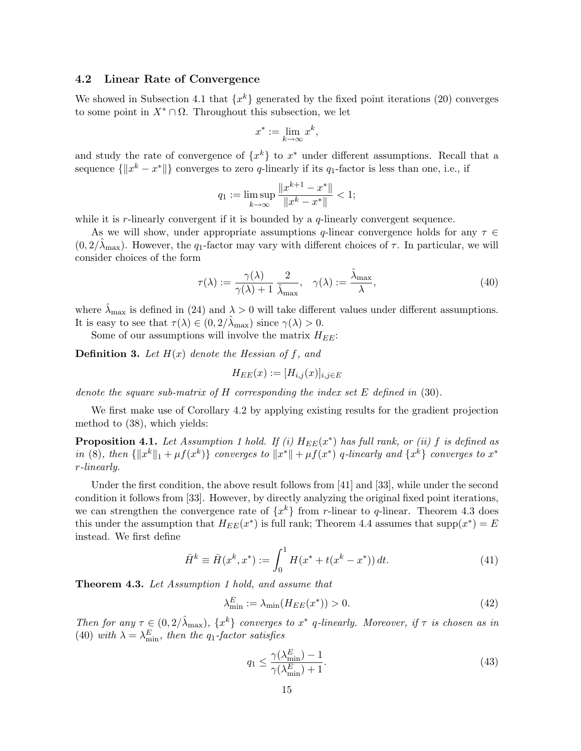#### 4.2 Linear Rate of Convergence

We showed in Subsection 4.1 that  $\{x^k\}$  generated by the fixed point iterations (20) converges to some point in  $X^* \cap \Omega$ . Throughout this subsection, we let

$$
x^* := \lim_{k \to \infty} x^k,
$$

and study the rate of convergence of  $\{x^k\}$  to  $x^*$  under different assumptions. Recall that a sequence  $\{\Vert x^k - x^* \Vert\}$  converges to zero q-linearly if its  $q_1$ -factor is less than one, i.e., if

$$
q_1 := \limsup_{k \to \infty} \frac{\|x^{k+1} - x^*\|}{\|x^k - x^*\|} < 1;
$$

while it is r-linearly convergent if it is bounded by a q-linearly convergent sequence.

As we will show, under appropriate assumptions q-linear convergence holds for any  $\tau \in$  $(0, 2/\lambda_{\text{max}})$ . However, the  $q_1$ -factor may vary with different choices of  $\tau$ . In particular, we will consider choices of the form

$$
\tau(\lambda) := \frac{\gamma(\lambda)}{\gamma(\lambda) + 1} \frac{2}{\hat{\lambda}_{\text{max}}}, \quad \gamma(\lambda) := \frac{\hat{\lambda}_{\text{max}}}{\lambda}, \tag{40}
$$

where  $\lambda_{\text{max}}$  is defined in (24) and  $\lambda > 0$  will take different values under different assumptions. It is easy to see that  $\tau(\lambda) \in (0, 2/\lambda_{\max})$  since  $\gamma(\lambda) > 0$ .

Some of our assumptions will involve the matrix  $H_{EE}$ :

**Definition 3.** Let  $H(x)$  denote the Hessian of f, and

$$
H_{EE}(x) := [H_{i,j}(x)]_{i,j \in E}
$$

denote the square sub-matrix of  $H$  corresponding the index set  $E$  defined in (30).

We first make use of Corollary 4.2 by applying existing results for the gradient projection method to (38), which yields:

**Proposition 4.1.** Let Assumption 1 hold. If (i)  $H_{EE}(x^*)$  has full rank, or (ii) f is defined as in (8), then  $\{\Vert x^k\Vert_1 + \mu f(x^k)\}$  converges to  $\Vert x^*\Vert + \mu f(x^*)$  q-linearly and  $\{x^k\}$  converges to  $x^*$ r-linearly.

Under the first condition, the above result follows from [41] and [33], while under the second condition it follows from [33]. However, by directly analyzing the original fixed point iterations, we can strengthen the convergence rate of  $\{x^k\}$  from r-linear to q-linear. Theorem 4.3 does this under the assumption that  $H_{EE}(x^*)$  is full rank; Theorem 4.4 assumes that  $supp(x^*) = E$ instead. We first define

$$
\bar{H}^k \equiv \bar{H}(x^k, x^*) := \int_0^1 H(x^* + t(x^k - x^*)) dt.
$$
 (41)

**Theorem 4.3.** Let Assumption 1 hold, and assume that

$$
\lambda_{\min}^E := \lambda_{\min}(H_{EE}(x^*)) > 0. \tag{42}
$$

Then for any  $\tau \in (0, 2/\hat{\lambda}_{\text{max}})$ ,  $\{x^k\}$  converges to  $x^*$  q-linearly. Moreover, if  $\tau$  is chosen as in (40) with  $\lambda = \lambda_{\min}^E$ , then the q<sub>1</sub>-factor satisfies

$$
q_1 \le \frac{\gamma(\lambda_{\min}^E) - 1}{\gamma(\lambda_{\min}^E) + 1}.\tag{43}
$$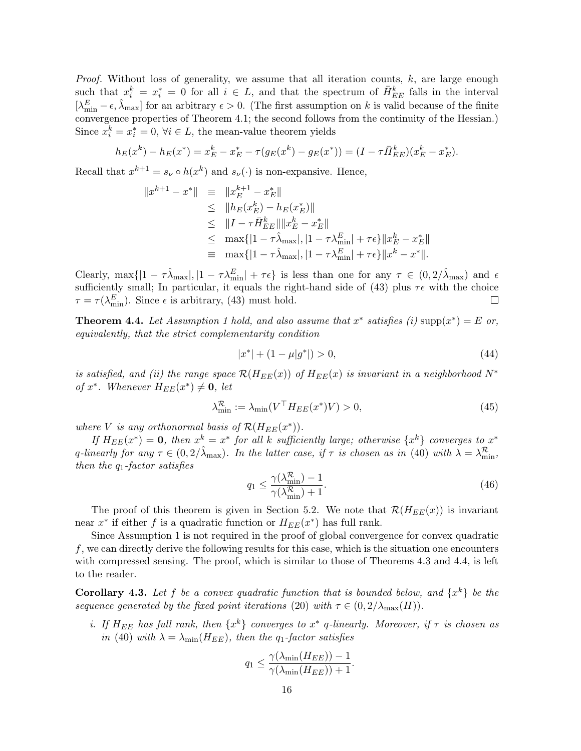*Proof.* Without loss of generality, we assume that all iteration counts,  $k$ , are large enough such that  $x_i^k = x_i^* = 0$  for all  $i \in L$ , and that the spectrum of  $\bar{H}_{EE}^k$  falls in the interval  $[\lambda_{\min}^E - \epsilon, \hat{\lambda}_{\max}]$  for an arbitrary  $\epsilon > 0$ . (The first assumption on k is valid because of the finite convergence properties of Theorem 4.1; the second follows from the continuity of the Hessian.) Since  $x_i^k = x_i^* = 0$ ,  $\forall i \in L$ , the mean-value theorem yields

$$
h_E(x^k) - h_E(x^*) = x_E^k - x_E^* - \tau(g_E(x^k) - g_E(x^*)) = (I - \tau \bar{H}_{EE}^k)(x_E^k - x_E^*).
$$

Recall that  $x^{k+1} = s_{\nu} \circ h(x^k)$  and  $s_{\nu}(\cdot)$  is non-expansive. Hence,

$$
||x^{k+1} - x^*|| = ||x_E^{k+1} - x_E^*||
$$
  
\n
$$
\leq ||h_E(x_E^k) - h_E(x_E^*)||
$$
  
\n
$$
\leq ||I - \tau \bar{H}_{EE}^k|| ||x_E^k - x_E^*||
$$
  
\n
$$
\leq \max\{|1 - \tau \hat{\lambda}_{\text{max}}|, |1 - \tau \lambda_{\text{min}}^E| + \tau \epsilon\} ||x_E^k - x_E^*||
$$
  
\n
$$
\equiv \max\{|1 - \tau \hat{\lambda}_{\text{max}}|, |1 - \tau \lambda_{\text{min}}^E| + \tau \epsilon\} ||x_E^k - x^*||.
$$

Clearly,  $\max\{|1 - \tau \hat{\lambda}_{\text{max}}|, |1 - \tau \lambda_{\text{min}}^E| + \tau \epsilon\}$  is less than one for any  $\tau \in (0, 2/\hat{\lambda}_{\text{max}})$  and  $\epsilon$ sufficiently small; In particular, it equals the right-hand side of (43) plus  $\tau \epsilon$  with the choice  $\tau = \tau(\lambda_{\min}^E)$ . Since  $\epsilon$  is arbitrary, (43) must hold.  $\Box$ 

**Theorem 4.4.** Let Assumption 1 hold, and also assume that  $x^*$  satisfies (i) supp $(x^*) = E$  or, equivalently, that the strict complementarity condition

$$
|x^*| + (1 - \mu|g^*|) > 0,\t\t(44)
$$

is satisfied, and (ii) the range space  $\mathcal{R}(H_{EE}(x))$  of  $H_{EE}(x)$  is invariant in a neighborhood  $N^*$ of  $x^*$ . Whenever  $H_{EE}(x^*) \neq \mathbf{0}$ , let

$$
\lambda_{\min}^{\mathcal{R}} := \lambda_{\min}(V^{\top} H_{EE}(x^*) V) > 0,
$$
\n(45)

where V is any orthonormal basis of  $\mathcal{R}(H_{EE}(x^*))$ .

If  $H_{EE}(x^*) = 0$ , then  $x^k = x^*$  for all k sufficiently large; otherwise  $\{x^k\}$  converges to  $x^*$ q-linearly for any  $\tau \in (0, 2/\lambda_{\max})$ . In the latter case, if  $\tau$  is chosen as in (40) with  $\lambda = \lambda_{\min}^{\mathcal{R}}$ , then the  $q_1$ -factor satisfies

$$
q_1 \le \frac{\gamma(\lambda_{\min}^{\mathcal{R}})-1}{\gamma(\lambda_{\min}^{\mathcal{R}})+1}.
$$
\n(46)

The proof of this theorem is given in Section 5.2. We note that  $\mathcal{R}(H_{EE}(x))$  is invariant near  $x^*$  if either f is a quadratic function or  $H_{EE}(x^*)$  has full rank.

Since Assumption 1 is not required in the proof of global convergence for convex quadratic f, we can directly derive the following results for this case, which is the situation one encounters with compressed sensing. The proof, which is similar to those of Theorems 4.3 and 4.4, is left to the reader.

**Corollary 4.3.** Let f be a convex quadratic function that is bounded below, and  $\{x^k\}$  be the sequence generated by the fixed point iterations (20) with  $\tau \in (0, 2/\lambda_{\max}(H)).$ 

i. If  $H_{EE}$  has full rank, then  $\{x^k\}$  converges to  $x^*$  q-linearly. Moreover, if  $\tau$  is chosen as in (40) with  $\lambda = \lambda_{\min}(H_{EE})$ , then the q<sub>1</sub>-factor satisfies

$$
q_1 \leq \frac{\gamma(\lambda_{\min}(H_{EE})) - 1}{\gamma(\lambda_{\min}(H_{EE})) + 1}.
$$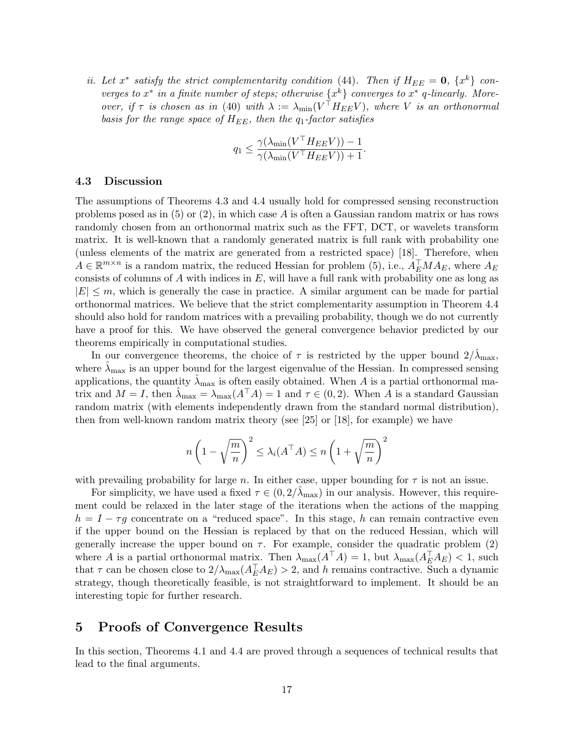ii. Let  $x^*$  satisfy the strict complementarity condition (44). Then if  $H_{EE} = 0$ ,  $\{x^k\}$  converges to  $x^*$  in a finite number of steps; otherwise  $\{x^k\}$  converges to  $x^*$  q-linearly. Moreover, if  $\tau$  is chosen as in (40) with  $\lambda := \lambda_{\min}(V^\top H_{EE} V)$ , where V is an orthonormal basis for the range space of  $H_{EE}$ , then the  $q_1$ -factor satisfies

$$
q_1 \leq \frac{\gamma(\lambda_{\min}(V^\top H_{EE}V)) - 1}{\gamma(\lambda_{\min}(V^\top H_{EE}V)) + 1}.
$$

#### 4.3 Discussion

The assumptions of Theorems 4.3 and 4.4 usually hold for compressed sensing reconstruction problems posed as in  $(5)$  or  $(2)$ , in which case A is often a Gaussian random matrix or has rows randomly chosen from an orthonormal matrix such as the FFT, DCT, or wavelets transform matrix. It is well-known that a randomly generated matrix is full rank with probability one (unless elements of the matrix are generated from a restricted space) [18]. Therefore, when  $A \in \mathbb{R}^{m \times n}$  is a random matrix, the reduced Hessian for problem (5), i.e.,  $A_{E}^{\top} M A_{E}$ , where  $A_{E}$ consists of columns of  $A$  with indices in  $E$ , will have a full rank with probability one as long as  $|E| \leq m$ , which is generally the case in practice. A similar argument can be made for partial orthonormal matrices. We believe that the strict complementarity assumption in Theorem 4.4 should also hold for random matrices with a prevailing probability, though we do not currently have a proof for this. We have observed the general convergence behavior predicted by our theorems empirically in computational studies.

In our convergence theorems, the choice of  $\tau$  is restricted by the upper bound  $2/\lambda_{\text{max}}$ , where  $\lambda_{\text{max}}$  is an upper bound for the largest eigenvalue of the Hessian. In compressed sensing applications, the quantity  $\hat{\lambda}_{\text{max}}$  is often easily obtained. When A is a partial orthonormal matrix and  $M = I$ , then  $\hat{\lambda}_{\text{max}} = \lambda_{\text{max}}(A^{\top}A) = 1$  and  $\tau \in (0, 2)$ . When A is a standard Gaussian random matrix (with elements independently drawn from the standard normal distribution), then from well-known random matrix theory (see [25] or [18], for example) we have

$$
n\left(1-\sqrt{\frac{m}{n}}\right)^2 \leq \lambda_i(A^\top A) \leq n\left(1+\sqrt{\frac{m}{n}}\right)^2
$$

with prevailing probability for large n. In either case, upper bounding for  $\tau$  is not an issue.

For simplicity, we have used a fixed  $\tau \in (0, 2/\lambda_{\text{max}})$  in our analysis. However, this requirement could be relaxed in the later stage of the iterations when the actions of the mapping  $h = I - \tau g$  concentrate on a "reduced space". In this stage, h can remain contractive even if the upper bound on the Hessian is replaced by that on the reduced Hessian, which will generally increase the upper bound on  $\tau$ . For example, consider the quadratic problem (2) where A is a partial orthonormal matrix. Then  $\lambda_{\max}(A^{\top}A) = 1$ , but  $\lambda_{\max}(A_{E}^{\top}A_{E}) < 1$ , such that  $\tau$  can be chosen close to  $2/\lambda_{\text{max}}(A_E^{\top}A_E) > 2$ , and h remains contractive. Such a dynamic strategy, though theoretically feasible, is not straightforward to implement. It should be an interesting topic for further research.

## 5 Proofs of Convergence Results

In this section, Theorems 4.1 and 4.4 are proved through a sequences of technical results that lead to the final arguments.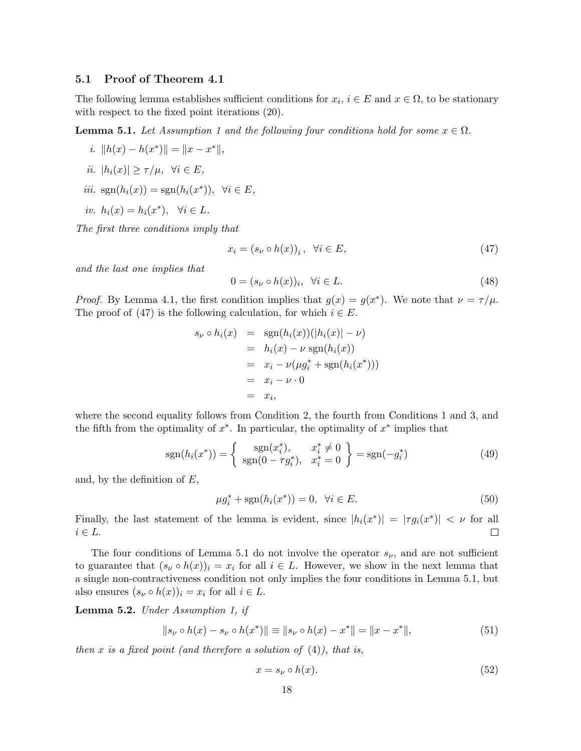#### 5.1 Proof of Theorem 4.1

The following lemma establishes sufficient conditions for  $x_i$ ,  $i \in E$  and  $x \in \Omega$ , to be stationary with respect to the fixed point iterations (20).

**Lemma 5.1.** Let Assumption 1 and the following four conditions hold for some  $x \in \Omega$ .

- i.  $||h(x) h(x^*)|| = ||x x^*||,$
- ii.  $|h_i(x)| \geq \tau/\mu$ ,  $\forall i \in E$ ,
- iii.  $sgn(h_i(x)) = sgn(h_i(x^*)), \forall i \in E,$
- iv.  $h_i(x) = h_i(x^*), \forall i \in L.$

The first three conditions imply that

$$
x_i = (s_\nu \circ h(x))_i, \quad \forall i \in E,
$$
\n
$$
(47)
$$

and the last one implies that

$$
0 = (s_{\nu} \circ h(x))_i, \quad \forall i \in L. \tag{48}
$$

*Proof.* By Lemma 4.1, the first condition implies that  $g(x) = g(x^*)$ . We note that  $\nu = \tau/\mu$ . The proof of (47) is the following calculation, for which  $i \in E$ .

$$
s_{\nu} \circ h_i(x) = \operatorname{sgn}(h_i(x))(|h_i(x)| - \nu)
$$
  
=  $h_i(x) - \nu \operatorname{sgn}(h_i(x))$   
=  $x_i - \nu(\mu g_i^* + \operatorname{sgn}(h_i(x^*)))$   
=  $x_i - \nu \cdot 0$   
=  $x_i$ ,

where the second equality follows from Condition 2, the fourth from Conditions 1 and 3, and the fifth from the optimality of  $x^*$ . In particular, the optimality of  $x^*$  implies that

$$
sgn(h_i(x^*)) = \begin{cases} sgn(x_i^*), & x_i^* \neq 0 \\ sgn(0 - \tau g_i^*), & x_i^* = 0 \end{cases} = sgn(-g_i^*)
$$
 (49)

and, by the definition of  $E$ ,

$$
\mu g_i^* + \text{sgn}(h_i(x^*)) = 0, \ \forall i \in E. \tag{50}
$$

Finally, the last statement of the lemma is evident, since  $|h_i(x^*)| = |\tau g_i(x^*)| < \nu$  for all  $i \in L$ .  $\Box$ 

The four conditions of Lemma 5.1 do not involve the operator  $s_{\nu}$ , and are not sufficient to guarantee that  $(s_{\nu} \circ h(x))_i = x_i$  for all  $i \in L$ . However, we show in the next lemma that a single non-contractiveness condition not only implies the four conditions in Lemma 5.1, but also ensures  $(s_{\nu} \circ h(x))_i = x_i$  for all  $i \in L$ .

Lemma 5.2. Under Assumption 1, if

$$
||s_{\nu} \circ h(x) - s_{\nu} \circ h(x^*)|| \equiv ||s_{\nu} \circ h(x) - x^*|| = ||x - x^*||,
$$
\n(51)

then x is a fixed point (and therefore a solution of  $(4)$ ), that is,

$$
x = s_{\nu} \circ h(x). \tag{52}
$$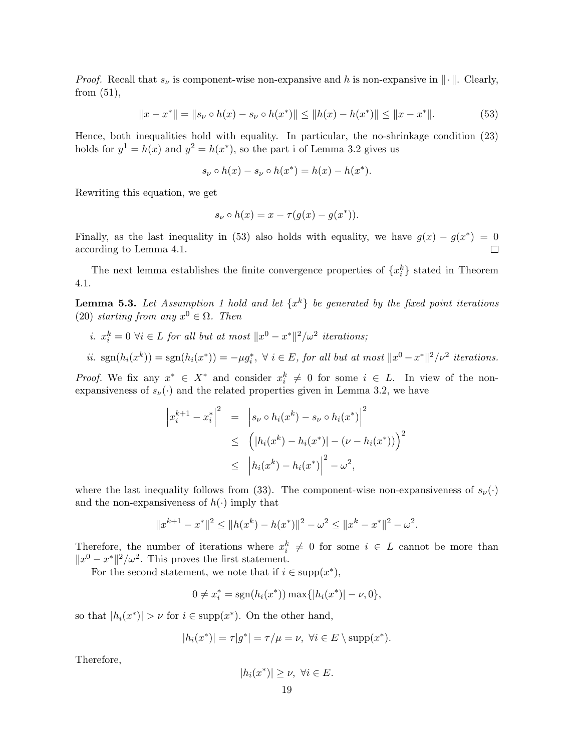*Proof.* Recall that  $s_{\nu}$  is component-wise non-expansive and h is non-expansive in  $\|\cdot\|$ . Clearly, from  $(51)$ ,

$$
||x - x^*|| = ||s_\nu \circ h(x) - s_\nu \circ h(x^*)|| \le ||h(x) - h(x^*)|| \le ||x - x^*||. \tag{53}
$$

Hence, both inequalities hold with equality. In particular, the no-shrinkage condition (23) holds for  $y^1 = h(x)$  and  $y^2 = h(x^*)$ , so the part i of Lemma 3.2 gives us

$$
s_{\nu} \circ h(x) - s_{\nu} \circ h(x^*) = h(x) - h(x^*).
$$

Rewriting this equation, we get

$$
s_{\nu} \circ h(x) = x - \tau(g(x) - g(x^*)).
$$

Finally, as the last inequality in (53) also holds with equality, we have  $g(x) - g(x^*) = 0$ according to Lemma 4.1.  $\Box$ 

The next lemma establishes the finite convergence properties of  $\{x_i^k\}$  stated in Theorem 4.1.

**Lemma 5.3.** Let Assumption 1 hold and let  $\{x^k\}$  be generated by the fixed point iterations (20) starting from any  $x^0 \in \Omega$ . Then

i.  $x_i^k = 0 \ \forall i \in L$  for all but at most  $||x^0 - x^*||^2/\omega^2$  iterations;

*ii.* sgn
$$
(h_i(x^k)) = sgn(h_i(x^*)) = -\mu g_i^*
$$
,  $\forall i \in E$ , for all but at most  $||x^0 - x^*||^2/\nu^2$  iterations.

*Proof.* We fix any  $x^* \in X^*$  and consider  $x_i^k \neq 0$  for some  $i \in L$ . In view of the nonexpansiveness of  $s_{\nu}(\cdot)$  and the related properties given in Lemma 3.2, we have

$$
\left| x_i^{k+1} - x_i^* \right|^2 = \left| s_\nu \circ h_i(x^k) - s_\nu \circ h_i(x^*) \right|^2
$$
  
\n
$$
\leq \left( \left| h_i(x^k) - h_i(x^*) \right| - \left( \nu - h_i(x^*) \right) \right)^2
$$
  
\n
$$
\leq \left| h_i(x^k) - h_i(x^*) \right|^2 - \omega^2,
$$

where the last inequality follows from (33). The component-wise non-expansiveness of  $s_{\nu}(\cdot)$ and the non-expansiveness of  $h(\cdot)$  imply that

$$
||x^{k+1} - x^*||^2 \le ||h(x^k) - h(x^*)||^2 - \omega^2 \le ||x^k - x^*||^2 - \omega^2.
$$

Therefore, the number of iterations where  $x_i^k \neq 0$  for some  $i \in L$  cannot be more than  $||x^0 - x^*||^2/\omega^2$ . This proves the first statement.

For the second statement, we note that if  $i \in \text{supp}(x^*)$ ,

$$
0 \neq x_i^* = \text{sgn}(h_i(x^*)) \max\{|h_i(x^*)| - \nu, 0\},\
$$

so that  $|h_i(x^*)| > \nu$  for  $i \in \text{supp}(x^*)$ . On the other hand,

$$
|h_i(x^*)| = \tau |g^*| = \tau/\mu = \nu, \ \forall i \in E \setminus \text{supp}(x^*).
$$

Therefore,

$$
|h_i(x^*)| \ge \nu, \ \forall i \in E.
$$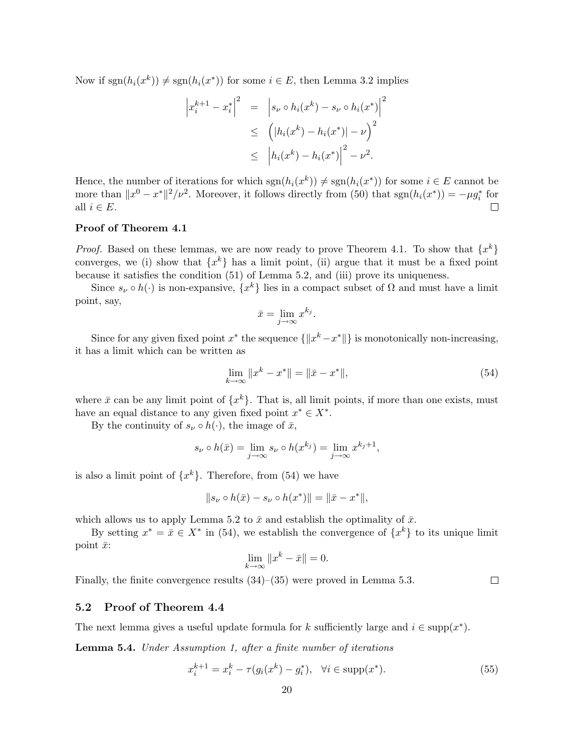Now if  $sgn(h_i(x^k)) \neq sgn(h_i(x^*))$  for some  $i \in E$ , then Lemma 3.2 implies

$$
\left| x_i^{k+1} - x_i^* \right|^2 = \left| s_\nu \circ h_i(x^k) - s_\nu \circ h_i(x^*) \right|^2
$$
  

$$
\leq \left( \left| h_i(x^k) - h_i(x^*) \right| - \nu \right)^2
$$
  

$$
\leq \left| h_i(x^k) - h_i(x^*) \right|^2 - \nu^2.
$$

Hence, the number of iterations for which  $sgn(h_i(x^k)) \neq sgn(h_i(x^*))$  for some  $i \in E$  cannot be more than  $||x^0 - x^*||^2/\nu^2$ . Moreover, it follows directly from (50) that  $sgn(h_i(x^*)) = -\mu g_i^*$  for all  $i \in E$ .  $\Box$ 

#### Proof of Theorem 4.1

*Proof.* Based on these lemmas, we are now ready to prove Theorem 4.1. To show that  $\{x^k\}$ converges, we (i) show that  $\{x^k\}$  has a limit point, (ii) argue that it must be a fixed point because it satisfies the condition (51) of Lemma 5.2, and (iii) prove its uniqueness.

Since  $s_{\nu} \circ h(\cdot)$  is non-expansive,  $\{x^{k}\}\$ lies in a compact subset of  $\Omega$  and must have a limit point, say,

$$
\bar{x} = \lim_{j \to \infty} x^{k_j}.
$$

Since for any given fixed point  $x^*$  the sequence  $\{\Vert x^k - x^* \Vert\}$  is monotonically non-increasing, it has a limit which can be written as

$$
\lim_{k \to \infty} \|x^k - x^*\| = \|\bar{x} - x^*\|,\tag{54}
$$

where  $\bar{x}$  can be any limit point of  $\{x^k\}$ . That is, all limit points, if more than one exists, must have an equal distance to any given fixed point  $x^* \in X^*$ .

By the continuity of  $s_{\nu} \circ h(\cdot)$ , the image of  $\bar{x}$ ,

$$
s_{\nu} \circ h(\bar{x}) = \lim_{j \to \infty} s_{\nu} \circ h(x^{k_j}) = \lim_{j \to \infty} x^{k_j+1},
$$

is also a limit point of  $\{x^k\}$ . Therefore, from (54) we have

$$
||s_{\nu} \circ h(\bar{x}) - s_{\nu} \circ h(x^*)|| = ||\bar{x} - x^*||,
$$

which allows us to apply Lemma 5.2 to  $\bar{x}$  and establish the optimality of  $\bar{x}$ .

By setting  $x^* = \bar{x} \in X^*$  in (54), we establish the convergence of  $\{x^k\}$  to its unique limit point  $\bar{x}$ :

$$
\lim_{k \to \infty} \|x^k - \bar{x}\| = 0.
$$

Finally, the finite convergence results (34)–(35) were proved in Lemma 5.3.

#### 5.2 Proof of Theorem 4.4

The next lemma gives a useful update formula for k sufficiently large and  $i \in \text{supp}(x^*)$ .

Lemma 5.4. Under Assumption 1, after a finite number of iterations

$$
x_i^{k+1} = x_i^k - \tau(g_i(x^k) - g_i^*), \quad \forall i \in \text{supp}(x^*).
$$
 (55)

 $\Box$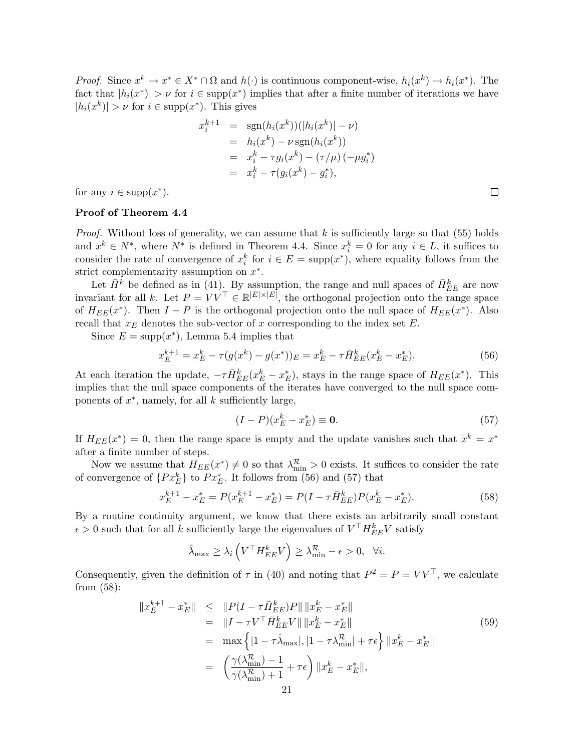*Proof.* Since  $x^k \to x^* \in X^* \cap \Omega$  and  $h(\cdot)$  is continuous component-wise,  $h_i(x^k) \to h_i(x^*)$ . The fact that  $|h_i(x^*)| > \nu$  for  $i \in \text{supp}(x^*)$  implies that after a finite number of iterations we have  $|h_i(x^k)| > \nu$  for  $i \in \text{supp}(x^*)$ . This gives

$$
x_i^{k+1} = \text{sgn}(h_i(x^k))(|h_i(x^k)| - \nu)
$$
  
=  $h_i(x^k) - \nu \text{sgn}(h_i(x^k))$   
=  $x_i^k - \tau g_i(x^k) - (\tau/\mu) (-\mu g_i^*)$   
=  $x_i^k - \tau (g_i(x^k) - g_i^*),$ 

for any  $i \in \text{supp}(x^*)$ .

#### Proof of Theorem 4.4

*Proof.* Without loss of generality, we can assume that  $k$  is sufficiently large so that (55) holds and  $x^k \in N^*$ , where  $N^*$  is defined in Theorem 4.4. Since  $x_i^k = 0$  for any  $i \in L$ , it suffices to consider the rate of convergence of  $x_i^k$  for  $i \in E = \text{supp}(x^*)$ , where equality follows from the strict complementarity assumption on  $x^*$ .

Let  $\bar{H}^k$  be defined as in (41). By assumption, the range and null spaces of  $\bar{H}_{EE}^k$  are now invariant for all k. Let  $P = V V^{\top} \in \mathbb{R}^{|E| \times |E|}$ , the orthogonal projection onto the range space of  $H_{EE}(x^*)$ . Then  $I - P$  is the orthogonal projection onto the null space of  $H_{EE}(x^*)$ . Also recall that  $x_E$  denotes the sub-vector of x corresponding to the index set  $E$ .

Since  $E = \text{supp}(x^*)$ , Lemma 5.4 implies that

$$
x_E^{k+1} = x_E^k - \tau(g(x^k) - g(x^*))_E = x_E^k - \tau \bar{H}_{EE}^k(x_E^k - x_E^*).
$$
 (56)

At each iteration the update,  $-\tau \bar{H}_{EE}^k(x_E^k - x_E^*)$ , stays in the range space of  $H_{EE}(x^*)$ . This implies that the null space components of the iterates have converged to the null space components of  $x^*$ , namely, for all  $k$  sufficiently large,

$$
(I - P)(x_E^k - x_E^*) \equiv \mathbf{0}.\tag{57}
$$

If  $H_{EE}(x^*) = 0$ , then the range space is empty and the update vanishes such that  $x^k = x^*$ after a finite number of steps.

Now we assume that  $H_{EE}(x^*) \neq 0$  so that  $\lambda_{\min}^R > 0$  exists. It suffices to consider the rate of convergence of  $\{Px_E^k\}$  to  $Px_E^*$ . It follows from (56) and (57) that

$$
x_E^{k+1} - x_E^* = P(x_E^{k+1} - x_E^*) = P(I - \tau \bar{H}_{EE}^k)P(x_E^k - x_E^*).
$$
\n(58)

By a routine continuity argument, we know that there exists an arbitrarily small constant  $\epsilon > 0$  such that for all k sufficiently large the eigenvalues of  $V^{\top} H_{EE}^k V$  satisfy

$$
\hat{\lambda}_{\max} \ge \lambda_i \left( V^\top H_{EE}^k V \right) \ge \lambda_{\min}^{\mathcal{R}} - \epsilon > 0, \quad \forall i.
$$

Consequently, given the definition of  $\tau$  in (40) and noting that  $P^2 = P = V V^{\top}$ , we calculate from (58):

$$
||x_E^{k+1} - x_E^*|| \le ||P(I - \tau \bar{H}_{EE}^k)P|| ||x_E^k - x_E^*||
$$
  
\n
$$
= ||I - \tau V^\top \bar{H}_{EE}^k V|| ||x_E^k - x_E^*||
$$
  
\n
$$
= \max \{ |1 - \tau \hat{\lambda}_{\text{max}}|, |1 - \tau \hat{\lambda}_{\text{min}}^R| + \tau \epsilon \} ||x_E^k - x_E^*||
$$
  
\n
$$
= \left( \frac{\gamma(\lambda_{\text{min}}^R) - 1}{\gamma(\lambda_{\text{min}}^R) + 1} + \tau \epsilon \right) ||x_E^k - x_E^*||,
$$
  
\n21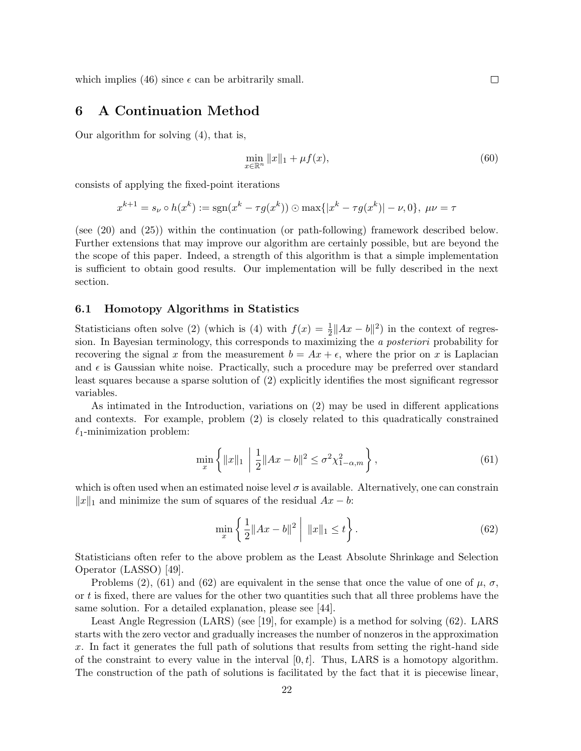which implies (46) since  $\epsilon$  can be arbitrarily small.

## 6 A Continuation Method

Our algorithm for solving (4), that is,

$$
\min_{x \in \mathbb{R}^n} \|x\|_1 + \mu f(x),\tag{60}
$$

consists of applying the fixed-point iterations

$$
x^{k+1} = s_{\nu} \circ h(x^k) := \text{sgn}(x^k - \tau g(x^k)) \odot \max\{|x^k - \tau g(x^k)| - \nu, 0\}, \ \mu\nu = \tau
$$

(see (20) and (25)) within the continuation (or path-following) framework described below. Further extensions that may improve our algorithm are certainly possible, but are beyond the the scope of this paper. Indeed, a strength of this algorithm is that a simple implementation is sufficient to obtain good results. Our implementation will be fully described in the next section.

#### 6.1 Homotopy Algorithms in Statistics

Statisticians often solve (2) (which is (4) with  $f(x) = \frac{1}{2} ||Ax - b||^2$ ) in the context of regression. In Bayesian terminology, this corresponds to maximizing the a posteriori probability for recovering the signal x from the measurement  $b = Ax + \epsilon$ , where the prior on x is Laplacian and  $\epsilon$  is Gaussian white noise. Practically, such a procedure may be preferred over standard least squares because a sparse solution of (2) explicitly identifies the most significant regressor variables.

As intimated in the Introduction, variations on (2) may be used in different applications and contexts. For example, problem (2) is closely related to this quadratically constrained  $\ell_1$ -minimization problem:

$$
\min_{x} \left\{ \|x\|_1 \, \left| \, \frac{1}{2} \|Ax - b\|^2 \le \sigma^2 \chi^2_{1-\alpha, m} \right. \right\},\tag{61}
$$

which is often used when an estimated noise level  $\sigma$  is available. Alternatively, one can constrain  $||x||_1$  and minimize the sum of squares of the residual  $Ax - b$ :

$$
\min_{x} \left\{ \frac{1}{2} \|Ax - b\|^2 \mid \|x\|_1 \le t \right\}.
$$
\n(62)

Statisticians often refer to the above problem as the Least Absolute Shrinkage and Selection Operator (LASSO) [49].

Problems (2), (61) and (62) are equivalent in the sense that once the value of one of  $\mu$ ,  $\sigma$ , or  $t$  is fixed, there are values for the other two quantities such that all three problems have the same solution. For a detailed explanation, please see [44].

Least Angle Regression (LARS) (see [19], for example) is a method for solving (62). LARS starts with the zero vector and gradually increases the number of nonzeros in the approximation x. In fact it generates the full path of solutions that results from setting the right-hand side of the constraint to every value in the interval  $[0, t]$ . Thus, LARS is a homotopy algorithm. The construction of the path of solutions is facilitated by the fact that it is piecewise linear,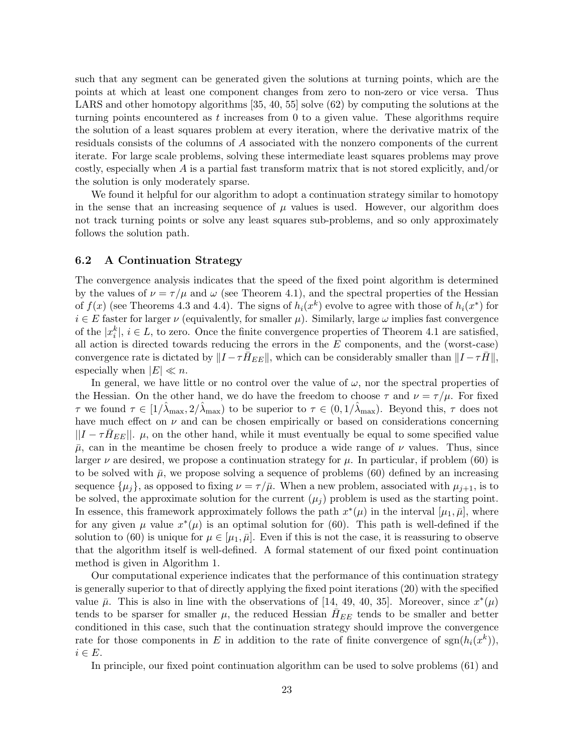such that any segment can be generated given the solutions at turning points, which are the points at which at least one component changes from zero to non-zero or vice versa. Thus LARS and other homotopy algorithms [35, 40, 55] solve (62) by computing the solutions at the turning points encountered as  $t$  increases from 0 to a given value. These algorithms require the solution of a least squares problem at every iteration, where the derivative matrix of the residuals consists of the columns of A associated with the nonzero components of the current iterate. For large scale problems, solving these intermediate least squares problems may prove costly, especially when A is a partial fast transform matrix that is not stored explicitly, and/or the solution is only moderately sparse.

We found it helpful for our algorithm to adopt a continuation strategy similar to homotopy in the sense that an increasing sequence of  $\mu$  values is used. However, our algorithm does not track turning points or solve any least squares sub-problems, and so only approximately follows the solution path.

#### 6.2 A Continuation Strategy

The convergence analysis indicates that the speed of the fixed point algorithm is determined by the values of  $\nu = \tau/\mu$  and  $\omega$  (see Theorem 4.1), and the spectral properties of the Hessian of  $f(x)$  (see Theorems 4.3 and 4.4). The signs of  $h_i(x^k)$  evolve to agree with those of  $h_i(x^*)$  for  $i \in E$  faster for larger  $\nu$  (equivalently, for smaller  $\mu$ ). Similarly, large  $\omega$  implies fast convergence of the  $|x_i^k|$ ,  $i \in L$ , to zero. Once the finite convergence properties of Theorem 4.1 are satisfied, all action is directed towards reducing the errors in the  $E$  components, and the (worst-case) convergence rate is dictated by  $||I - \tau H_{EE}||$ , which can be considerably smaller than  $||I - \tau \overline{H}||$ , especially when  $|E| \ll n$ .

In general, we have little or no control over the value of  $\omega$ , nor the spectral properties of the Hessian. On the other hand, we do have the freedom to choose  $\tau$  and  $\nu = \tau/\mu$ . For fixed  $\tau$  we found  $\tau \in [1/\lambda_{\max}, 2/\lambda_{\max})$  to be superior to  $\tau \in (0, 1/\lambda_{\max})$ . Beyond this,  $\tau$  does not have much effect on  $\nu$  and can be chosen empirically or based on considerations concerning  $||I - \tau H_{EE}||$ .  $\mu$ , on the other hand, while it must eventually be equal to some specified value  $\bar{\mu}$ , can in the meantime be chosen freely to produce a wide range of  $\nu$  values. Thus, since larger  $\nu$  are desired, we propose a continuation strategy for  $\mu$ . In particular, if problem (60) is to be solved with  $\bar{\mu}$ , we propose solving a sequence of problems (60) defined by an increasing sequence  $\{\mu_j\}$ , as opposed to fixing  $\nu = \tau/\bar{\mu}$ . When a new problem, associated with  $\mu_{j+1}$ , is to be solved, the approximate solution for the current  $(\mu_i)$  problem is used as the starting point. In essence, this framework approximately follows the path  $x^*(\mu)$  in the interval  $[\mu_1, \bar{\mu}],$  where for any given  $\mu$  value  $x^*(\mu)$  is an optimal solution for (60). This path is well-defined if the solution to (60) is unique for  $\mu \in [\mu_1, \bar{\mu}]$ . Even if this is not the case, it is reassuring to observe that the algorithm itself is well-defined. A formal statement of our fixed point continuation method is given in Algorithm 1.

Our computational experience indicates that the performance of this continuation strategy is generally superior to that of directly applying the fixed point iterations (20) with the specified value  $\bar{\mu}$ . This is also in line with the observations of [14, 49, 40, 35]. Moreover, since  $x^*(\mu)$ tends to be sparser for smaller  $\mu$ , the reduced Hessian  $H_{EE}$  tends to be smaller and better conditioned in this case, such that the continuation strategy should improve the convergence rate for those components in E in addition to the rate of finite convergence of  $sgn(h_i(x^k))$ ,  $i \in E$ .

In principle, our fixed point continuation algorithm can be used to solve problems (61) and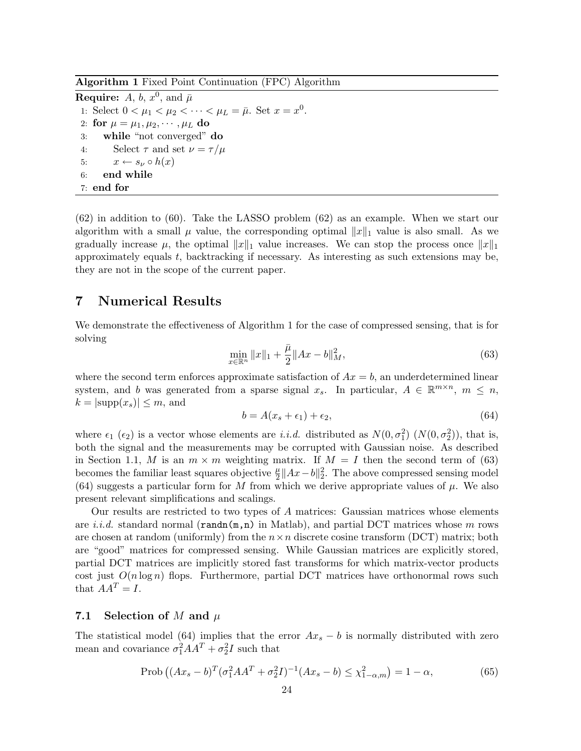Algorithm 1 Fixed Point Continuation (FPC) Algorithm

**Require:**  $A, b, x^0$ , and  $\bar{\mu}$ 1: Select  $0 < \mu_1 < \mu_2 < \cdots < \mu_L = \bar{\mu}$ . Set  $x = x^0$ . 2: for  $\mu = \mu_1, \mu_2, \cdots, \mu_L$  do 3: while "not converged" do 4: Select  $\tau$  and set  $\nu = \tau/\mu$ 5:  $x \leftarrow s_{\nu} \circ h(x)$ 6: end while 7: end for

(62) in addition to (60). Take the LASSO problem (62) as an example. When we start our algorithm with a small  $\mu$  value, the corresponding optimal  $||x||_1$  value is also small. As we gradually increase  $\mu$ , the optimal  $||x||_1$  value increases. We can stop the process once  $||x||_1$ approximately equals t, backtracking if necessary. As interesting as such extensions may be, they are not in the scope of the current paper.

## 7 Numerical Results

We demonstrate the effectiveness of Algorithm 1 for the case of compressed sensing, that is for solving

$$
\min_{x \in \mathbb{R}^n} \|x\|_1 + \frac{\bar{\mu}}{2} \|Ax - b\|_M^2,
$$
\n(63)

where the second term enforces approximate satisfaction of  $Ax = b$ , an underdetermined linear system, and b was generated from a sparse signal  $x_s$ . In particular,  $A \in \mathbb{R}^{m \times n}$ ,  $m \leq n$ ,  $k = |\text{supp}(x_s)| \leq m$ , and

$$
b = A(x_s + \epsilon_1) + \epsilon_2,\tag{64}
$$

where  $\epsilon_1$  ( $\epsilon_2$ ) is a vector whose elements are *i.i.d.* distributed as  $N(0, \sigma_1^2)$  ( $N(0, \sigma_2^2)$ ), that is, both the signal and the measurements may be corrupted with Gaussian noise. As described in Section 1.1, M is an  $m \times m$  weighting matrix. If  $M = I$  then the second term of (63) becomes the familiar least squares objective  $\frac{\mu}{2} ||Ax - b||_2^2$ . The above compressed sensing model (64) suggests a particular form for M from which we derive appropriate values of  $\mu$ . We also present relevant simplifications and scalings.

Our results are restricted to two types of A matrices: Gaussian matrices whose elements are *i.i.d.* standard normal ( $\text{randn}(m,n)$  in Matlab), and partial DCT matrices whose m rows are chosen at random (uniformly) from the  $n \times n$  discrete cosine transform (DCT) matrix; both are "good" matrices for compressed sensing. While Gaussian matrices are explicitly stored, partial DCT matrices are implicitly stored fast transforms for which matrix-vector products cost just  $O(n \log n)$  flops. Furthermore, partial DCT matrices have orthonormal rows such that  $AA^T = I$ .

#### 7.1 Selection of M and  $\mu$

The statistical model (64) implies that the error  $Ax_s - b$  is normally distributed with zero mean and covariance  $\sigma_1^2 A A^T + \sigma_2^2 I$  such that

$$
\text{Prob}\left((Ax_s - b)^T(\sigma_1^2 A A^T + \sigma_2^2 I)^{-1} (Ax_s - b) \le \chi_{1-\alpha,m}^2\right) = 1 - \alpha,\tag{65}
$$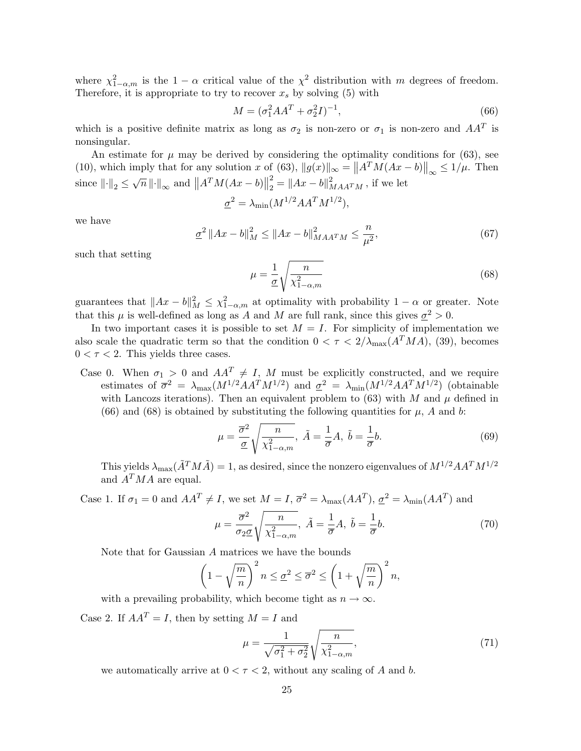where  $\chi^2_{1-\alpha,m}$  is the  $1-\alpha$  critical value of the  $\chi^2$  distribution with m degrees of freedom. Therefore, it is appropriate to try to recover  $x_s$  by solving (5) with

$$
M = (\sigma_1^2 A A^T + \sigma_2^2 I)^{-1},\tag{66}
$$

which is a positive definite matrix as long as  $\sigma_2$  is non-zero or  $\sigma_1$  is non-zero and  $AA^T$  is nonsingular.

An estimate for  $\mu$  may be derived by considering the optimality conditions for (63), see (10), which imply that for any solution x of (63),  $||g(x)||_{\infty} = ||A^T M (Ax - b)||_{\infty} \le 1/\mu$ . Then since  $\left\| \cdot \right\|_2 \leq \sqrt{n} \left\| \cdot \right\|_{\infty}$  and  $\left\| A^T M (Ax - b) \right\|$ 2  $\frac{2}{2} = ||Ax - b||_{MAA^TM}^2$ , if we let

$$
\underline{\sigma}^2 = \lambda_{\min}(M^{1/2}AA^TM^{1/2}),
$$

we have

$$
\underline{\sigma}^2 \|Ax - b\|_M^2 \le \|Ax - b\|_{MAA^T M}^2 \le \frac{n}{\mu^2},\tag{67}
$$

such that setting

$$
\mu = \frac{1}{\underline{\sigma}} \sqrt{\frac{n}{\chi_{1-\alpha,m}^2}} \tag{68}
$$

guarantees that  $||Ax - b||_M^2 \leq \chi^2_{1-\alpha,m}$  at optimality with probability  $1 - \alpha$  or greater. Note that this  $\mu$  is well-defined as long as A and M are full rank, since this gives  $\underline{\sigma}^2 > 0$ .

In two important cases it is possible to set  $M = I$ . For simplicity of implementation we also scale the quadratic term so that the condition  $0 < \tau < 2/\lambda_{\max}(A^T M A)$ , (39), becomes  $0 < \tau < 2$ . This yields three cases.

Case 0. When  $\sigma_1 > 0$  and  $AA^T \neq I$ , M must be explicitly constructed, and we require estimates of  $\overline{\sigma}^2 = \lambda_{\max}(M^{1/2}AA^T M^{1/2})$  and  $\underline{\sigma}^2 = \lambda_{\min}(M^{1/2}AA^T M^{1/2})$  (obtainable with Lancozs iterations). Then an equivalent problem to (63) with M and  $\mu$  defined in (66) and (68) is obtained by substituting the following quantities for  $\mu$ , A and b:

$$
\mu = \frac{\overline{\sigma}^2}{\underline{\sigma}} \sqrt{\frac{n}{\chi^2_{1-\alpha,m}}}, \ \tilde{A} = \frac{1}{\overline{\sigma}} A, \ \tilde{b} = \frac{1}{\overline{\sigma}} b. \tag{69}
$$

This yields  $\lambda_{\max}(\tilde{A}^T M \tilde{A}) = 1$ , as desired, since the nonzero eigenvalues of  $M^{1/2} A A^T M^{1/2}$ and  $A^T M A$  are equal.

Case 1. If  $\sigma_1 = 0$  and  $AA^T \neq I$ , we set  $M = I$ ,  $\overline{\sigma}^2 = \lambda_{\text{max}}(AA^T)$ ,  $\underline{\sigma}^2 = \lambda_{\text{min}}(AA^T)$  and

$$
\mu = \frac{\overline{\sigma}^2}{\sigma_2 \underline{\sigma}} \sqrt{\frac{n}{\chi^2_{1-\alpha,m}}}, \ \tilde{A} = \frac{1}{\overline{\sigma}} A, \ \tilde{b} = \frac{1}{\overline{\sigma}} b. \tag{70}
$$

Note that for Gaussian A matrices we have the bounds

$$
\left(1 - \sqrt{\frac{m}{n}}\right)^2 n \le \underline{\sigma}^2 \le \overline{\sigma}^2 \le \left(1 + \sqrt{\frac{m}{n}}\right)^2 n,
$$

with a prevailing probability, which become tight as  $n \to \infty$ .

Case 2. If  $AA^T = I$ , then by setting  $M = I$  and

$$
\mu = \frac{1}{\sqrt{\sigma_1^2 + \sigma_2^2}} \sqrt{\frac{n}{\chi_{1-\alpha,m}^2}},
$$
\n(71)

we automatically arrive at  $0 < \tau < 2$ , without any scaling of A and b.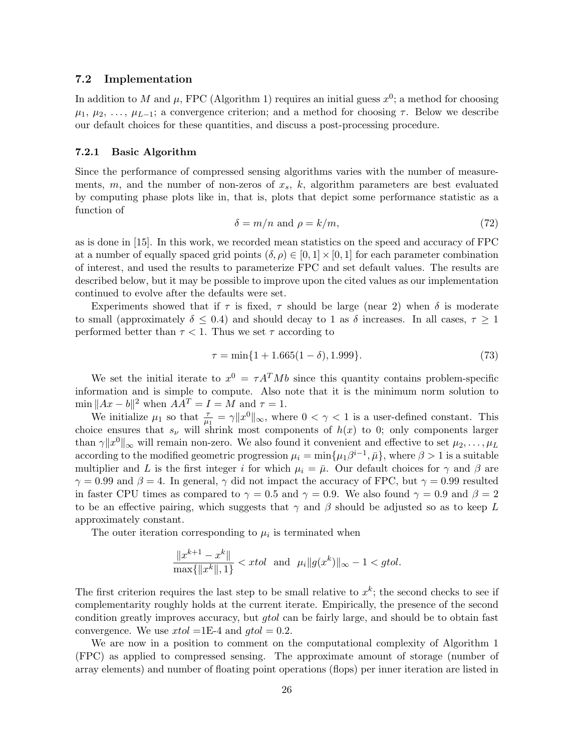#### 7.2 Implementation

In addition to M and  $\mu$ , FPC (Algorithm 1) requires an initial guess  $x^0$ ; a method for choosing  $\mu_1, \mu_2, \ldots, \mu_{L-1}$ ; a convergence criterion; and a method for choosing  $\tau$ . Below we describe our default choices for these quantities, and discuss a post-processing procedure.

#### 7.2.1 Basic Algorithm

Since the performance of compressed sensing algorithms varies with the number of measurements,  $m$ , and the number of non-zeros of  $x_s$ ,  $k$ , algorithm parameters are best evaluated by computing phase plots like in, that is, plots that depict some performance statistic as a function of

$$
\delta = m/n \text{ and } \rho = k/m,
$$
\n(72)

as is done in [15]. In this work, we recorded mean statistics on the speed and accuracy of FPC at a number of equally spaced grid points  $(\delta, \rho) \in [0, 1] \times [0, 1]$  for each parameter combination of interest, and used the results to parameterize FPC and set default values. The results are described below, but it may be possible to improve upon the cited values as our implementation continued to evolve after the defaults were set.

Experiments showed that if  $\tau$  is fixed,  $\tau$  should be large (near 2) when  $\delta$  is moderate to small (approximately  $\delta \leq 0.4$ ) and should decay to 1 as  $\delta$  increases. In all cases,  $\tau \geq 1$ performed better than  $\tau < 1$ . Thus we set  $\tau$  according to

$$
\tau = \min\{1 + 1.665(1 - \delta), 1.999\}.\tag{73}
$$

We set the initial iterate to  $x^0 = \tau A^T M b$  since this quantity contains problem-specific information and is simple to compute. Also note that it is the minimum norm solution to  $\min \|Ax - b\|^2$  when  $AA^T = I = M$  and  $\tau = 1$ .

We initialize  $\mu_1$  so that  $\frac{\tau}{\mu_1} = \gamma ||x^0||_{\infty}$ , where  $0 < \gamma < 1$  is a user-defined constant. This choice ensures that  $s_{\nu}$  will shrink most components of  $h(x)$  to 0; only components larger than  $\gamma ||x^0||_{\infty}$  will remain non-zero. We also found it convenient and effective to set  $\mu_2, \ldots, \mu_L$ according to the modified geometric progression  $\mu_i = \min\{\mu_1 \beta^{i-1}, \bar{\mu}\}\,$ , where  $\beta > 1$  is a suitable multiplier and L is the first integer i for which  $\mu_i = \bar{\mu}$ . Our default choices for  $\gamma$  and  $\beta$  are  $\gamma = 0.99$  and  $\beta = 4$ . In general,  $\gamma$  did not impact the accuracy of FPC, but  $\gamma = 0.99$  resulted in faster CPU times as compared to  $\gamma = 0.5$  and  $\gamma = 0.9$ . We also found  $\gamma = 0.9$  and  $\beta = 2$ to be an effective pairing, which suggests that  $\gamma$  and  $\beta$  should be adjusted so as to keep L approximately constant.

The outer iteration corresponding to  $\mu_i$  is terminated when

$$
\frac{\|x^{k+1} - x^k\|}{\max\{\|x^k\|, 1\}} < xtol \text{ and } \mu_i \|g(x^k)\|_{\infty} - 1 < gtol.
$$

The first criterion requires the last step to be small relative to  $x^k$ ; the second checks to see if complementarity roughly holds at the current iterate. Empirically, the presence of the second condition greatly improves accuracy, but *gtol* can be fairly large, and should be to obtain fast convergence. We use  $xtol = 1E-4$  and  $gtol = 0.2$ .

We are now in a position to comment on the computational complexity of Algorithm 1 (FPC) as applied to compressed sensing. The approximate amount of storage (number of array elements) and number of floating point operations (flops) per inner iteration are listed in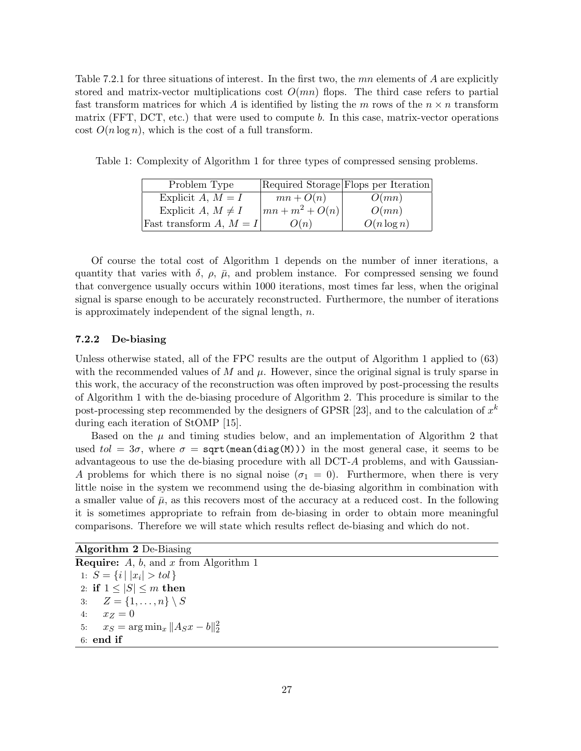Table 7.2.1 for three situations of interest. In the first two, the  $mn$  elements of A are explicitly stored and matrix-vector multiplications cost  $O(mn)$  flops. The third case refers to partial fast transform matrices for which A is identified by listing the m rows of the  $n \times n$  transform matrix (FFT, DCT, etc.) that were used to compute b. In this case, matrix-vector operations cost  $O(n \log n)$ , which is the cost of a full transform.

| Problem Type              |                            | Required Storage Flops per Iteration |
|---------------------------|----------------------------|--------------------------------------|
| Explicit A, $M = I$       | $mn + O(n)$                | O(mn)                                |
| Explicit A, $M \neq I$    | $\left mn+m^2+O(n)\right $ | O(mn)                                |
| Fast transform A, $M = I$ | O(n)                       | $O(n \log n)$                        |

Table 1: Complexity of Algorithm 1 for three types of compressed sensing problems.

Of course the total cost of Algorithm 1 depends on the number of inner iterations, a quantity that varies with  $\delta$ ,  $\rho$ ,  $\bar{\mu}$ , and problem instance. For compressed sensing we found that convergence usually occurs within 1000 iterations, most times far less, when the original signal is sparse enough to be accurately reconstructed. Furthermore, the number of iterations is approximately independent of the signal length, n.

#### 7.2.2 De-biasing

Unless otherwise stated, all of the FPC results are the output of Algorithm 1 applied to (63) with the recommended values of M and  $\mu$ . However, since the original signal is truly sparse in this work, the accuracy of the reconstruction was often improved by post-processing the results of Algorithm 1 with the de-biasing procedure of Algorithm 2. This procedure is similar to the post-processing step recommended by the designers of GPSR [23], and to the calculation of  $x^k$ during each iteration of StOMP [15].

Based on the  $\mu$  and timing studies below, and an implementation of Algorithm 2 that used  $tol = 3\sigma$ , where  $\sigma = \text{sqrt}(\text{mean}(diag(M)))$  in the most general case, it seems to be advantageous to use the de-biasing procedure with all DCT-A problems, and with Gaussian-A problems for which there is no signal noise  $(\sigma_1 = 0)$ . Furthermore, when there is very little noise in the system we recommend using the de-biasing algorithm in combination with a smaller value of  $\bar{\mu}$ , as this recovers most of the accuracy at a reduced cost. In the following it is sometimes appropriate to refrain from de-biasing in order to obtain more meaningful comparisons. Therefore we will state which results reflect de-biasing and which do not.

Algorithm 2 De-Biasing **Require:**  $A$ ,  $b$ , and  $x$  from Algorithm 1 1:  $S = \{i \mid |x_i| > tol\}$ 2: if  $1 \leq |S| \leq m$  then 3:  $Z = \{1, ..., n\} \setminus S$ 4:  $x_Z = 0$ 5:  $x_S = \arg \min_x \|A_S x - b\|_2^2$ 6: end if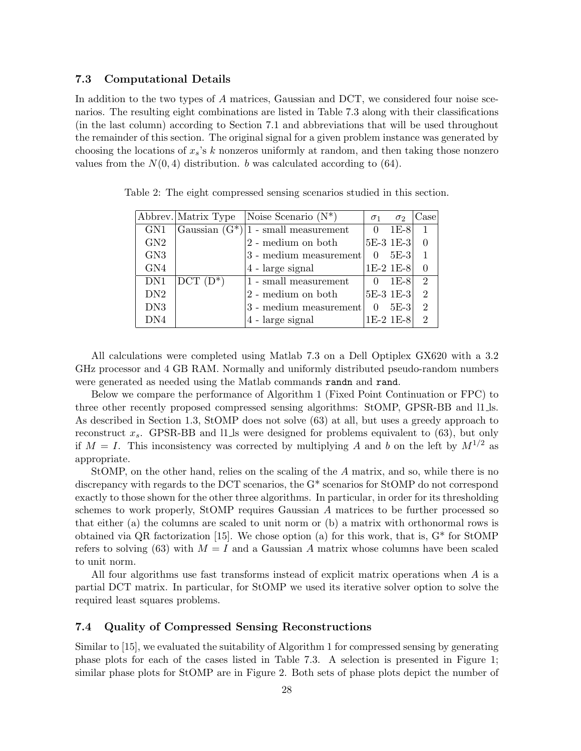#### 7.3 Computational Details

In addition to the two types of A matrices, Gaussian and DCT, we considered four noise scenarios. The resulting eight combinations are listed in Table 7.3 along with their classifications (in the last column) according to Section 7.1 and abbreviations that will be used throughout the remainder of this section. The original signal for a given problem instance was generated by choosing the locations of  $x_s$ 's k nonzeros uniformly at random, and then taking those nonzero values from the  $N(0, 4)$  distribution. b was calculated according to (64).

|                 |             | Abbrev. Matrix Type Noise Scenario $(N^*)$ | $\sigma_1$     | $\sigma_2$  | Case                        |
|-----------------|-------------|--------------------------------------------|----------------|-------------|-----------------------------|
| GN <sub>1</sub> |             | Gaussian $(G^*)/1$ - small measurement     | $\Omega$       | $1E-8$      |                             |
| GN2             |             | 2 - medium on both                         |                | $5E-3$ 1E-3 |                             |
| GN <sub>3</sub> |             | 3 - medium measurement                     | $\Omega$       | 5E-3        |                             |
| GN4             |             | 4 - large signal                           |                | $1E-2 1E-8$ |                             |
| DN1             | $DCT (D^*)$ | $1$ - small measurement $\,$               | $\overline{0}$ | 1E-8        | $\mathcal{D}_{\mathcal{L}}$ |
| DN2             |             | 2 - medium on both                         |                | $5E-31E-3$  | $\mathcal{D}_{\mathcal{L}}$ |
| DN <sub>3</sub> |             | 3 - medium measurement                     | $\theta$       | $5E-3$      | $\mathfrak{D}$              |
| DN <sub>4</sub> |             | 4 - large signal                           |                | 1E-2 1E-8   | $\mathcal{D}_{\mathcal{L}}$ |

Table 2: The eight compressed sensing scenarios studied in this section.

All calculations were completed using Matlab 7.3 on a Dell Optiplex GX620 with a 3.2 GHz processor and 4 GB RAM. Normally and uniformly distributed pseudo-random numbers were generated as needed using the Matlab commands randn and rand.

Below we compare the performance of Algorithm 1 (Fixed Point Continuation or FPC) to three other recently proposed compressed sensing algorithms: StOMP, GPSR-BB and l1 ls. As described in Section 1.3, StOMP does not solve (63) at all, but uses a greedy approach to reconstruct  $x_s$ . GPSR-BB and l1 ls were designed for problems equivalent to (63), but only if  $M = I$ . This inconsistency was corrected by multiplying A and b on the left by  $M^{1/2}$  as appropriate.

StOMP, on the other hand, relies on the scaling of the A matrix, and so, while there is no discrepancy with regards to the DCT scenarios, the G\* scenarios for StOMP do not correspond exactly to those shown for the other three algorithms. In particular, in order for its thresholding schemes to work properly, StOMP requires Gaussian A matrices to be further processed so that either (a) the columns are scaled to unit norm or (b) a matrix with orthonormal rows is obtained via QR factorization [15]. We chose option (a) for this work, that is, G\* for StOMP refers to solving (63) with  $M = I$  and a Gaussian A matrix whose columns have been scaled to unit norm.

All four algorithms use fast transforms instead of explicit matrix operations when A is a partial DCT matrix. In particular, for StOMP we used its iterative solver option to solve the required least squares problems.

#### 7.4 Quality of Compressed Sensing Reconstructions

Similar to [15], we evaluated the suitability of Algorithm 1 for compressed sensing by generating phase plots for each of the cases listed in Table 7.3. A selection is presented in Figure 1; similar phase plots for StOMP are in Figure 2. Both sets of phase plots depict the number of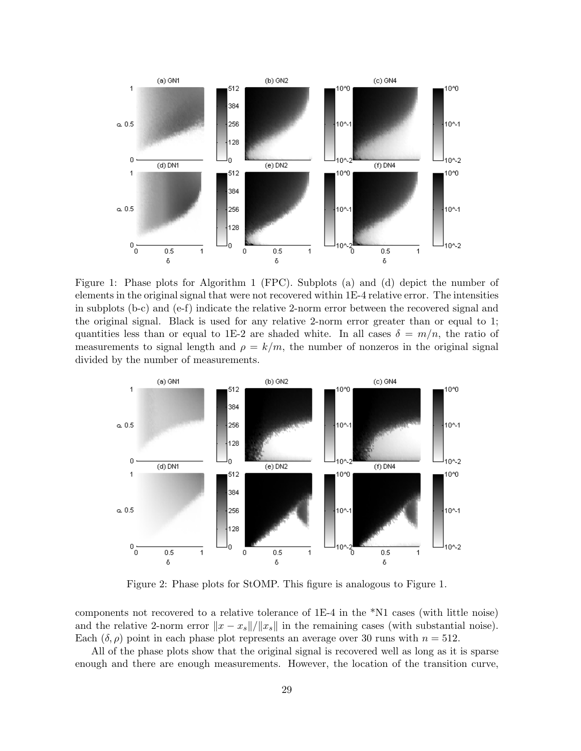

Figure 1: Phase plots for Algorithm 1 (FPC). Subplots (a) and (d) depict the number of elements in the original signal that were not recovered within 1E-4 relative error. The intensities in subplots (b-c) and (e-f) indicate the relative 2-norm error between the recovered signal and the original signal. Black is used for any relative 2-norm error greater than or equal to 1; quantities less than or equal to 1E-2 are shaded white. In all cases  $\delta = m/n$ , the ratio of measurements to signal length and  $\rho = k/m$ , the number of nonzeros in the original signal divided by the number of measurements.



Figure 2: Phase plots for StOMP. This figure is analogous to Figure 1.

components not recovered to a relative tolerance of 1E-4 in the \*N1 cases (with little noise) and the relative 2-norm error  $||x - x_s||/||x_s||$  in the remaining cases (with substantial noise). Each  $(\delta, \rho)$  point in each phase plot represents an average over 30 runs with  $n = 512$ .

All of the phase plots show that the original signal is recovered well as long as it is sparse enough and there are enough measurements. However, the location of the transition curve,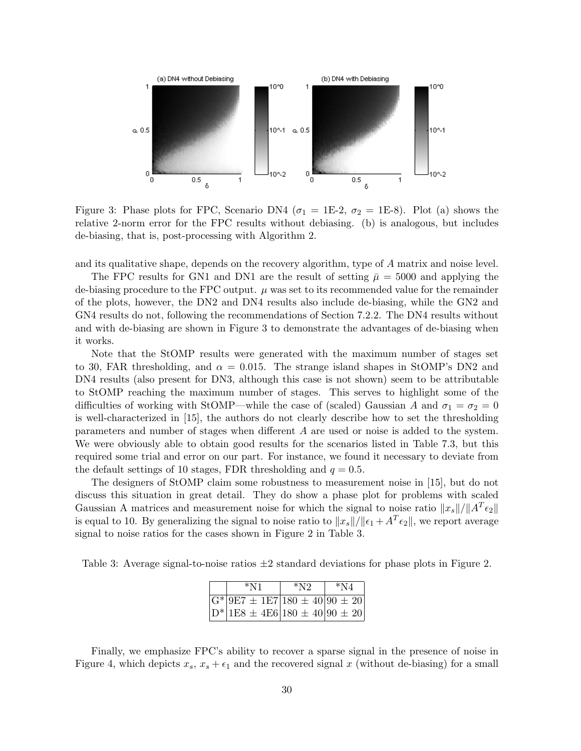

Figure 3: Phase plots for FPC, Scenario DN4 ( $\sigma_1 = 1E-2$ ,  $\sigma_2 = 1E-8$ ). Plot (a) shows the relative 2-norm error for the FPC results without debiasing. (b) is analogous, but includes de-biasing, that is, post-processing with Algorithm 2.

and its qualitative shape, depends on the recovery algorithm, type of A matrix and noise level.

The FPC results for GN1 and DN1 are the result of setting  $\bar{\mu} = 5000$  and applying the de-biasing procedure to the FPC output.  $\mu$  was set to its recommended value for the remainder of the plots, however, the DN2 and DN4 results also include de-biasing, while the GN2 and GN4 results do not, following the recommendations of Section 7.2.2. The DN4 results without and with de-biasing are shown in Figure 3 to demonstrate the advantages of de-biasing when it works.

Note that the StOMP results were generated with the maximum number of stages set to 30, FAR thresholding, and  $\alpha = 0.015$ . The strange island shapes in StOMP's DN2 and DN4 results (also present for DN3, although this case is not shown) seem to be attributable to StOMP reaching the maximum number of stages. This serves to highlight some of the difficulties of working with StOMP—while the case of (scaled) Gaussian A and  $\sigma_1 = \sigma_2 = 0$ is well-characterized in [15], the authors do not clearly describe how to set the thresholding parameters and number of stages when different A are used or noise is added to the system. We were obviously able to obtain good results for the scenarios listed in Table 7.3, but this required some trial and error on our part. For instance, we found it necessary to deviate from the default settings of 10 stages, FDR thresholding and  $q = 0.5$ .

The designers of StOMP claim some robustness to measurement noise in [15], but do not discuss this situation in great detail. They do show a phase plot for problems with scaled Gaussian A matrices and measurement noise for which the signal to noise ratio  $||x_s||/||A^T \epsilon_2||$ is equal to 10. By generalizing the signal to noise ratio to  $||x_s||/||\epsilon_1 + A^T \epsilon_2||$ , we report average signal to noise ratios for the cases shown in Figure 2 in Table 3.

Table 3: Average signal-to-noise ratios  $\pm 2$  standard deviations for phase plots in Figure 2.

|  | $*_{N1}$                                      | $*_{N2}$ | $*_{\rm N4}$ |  |  |
|--|-----------------------------------------------|----------|--------------|--|--|
|  | $\sqrt{G^* 9E7 \pm 1E7 180 \pm 40 90 \pm 20}$ |          |              |  |  |
|  | $ D^* 1E8 \pm 4E6 180 \pm 40 90 \pm 20$       |          |              |  |  |

Finally, we emphasize FPC's ability to recover a sparse signal in the presence of noise in Figure 4, which depicts  $x_s$ ,  $x_s + \epsilon_1$  and the recovered signal x (without de-biasing) for a small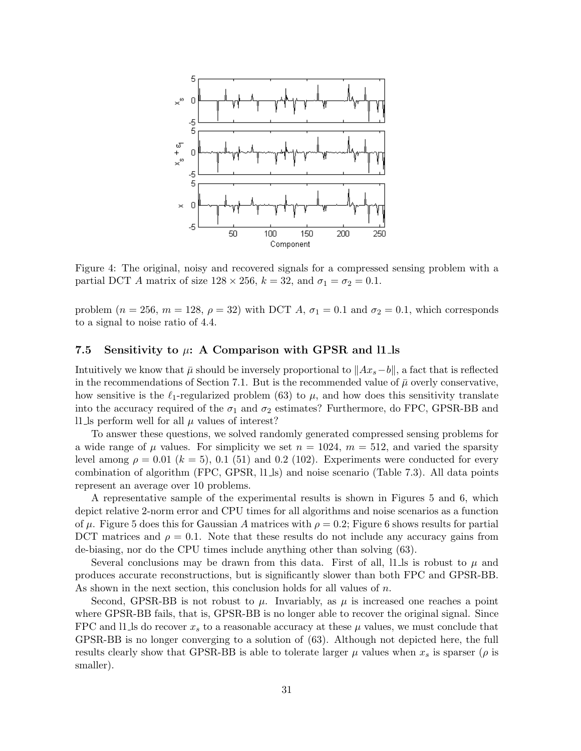

Figure 4: The original, noisy and recovered signals for a compressed sensing problem with a partial DCT A matrix of size  $128 \times 256$ ,  $k = 32$ , and  $\sigma_1 = \sigma_2 = 0.1$ .

problem ( $n = 256$ ,  $m = 128$ ,  $\rho = 32$ ) with DCT A,  $\sigma_1 = 0.1$  and  $\sigma_2 = 0.1$ , which corresponds to a signal to noise ratio of 4.4.

#### 7.5 Sensitivity to  $\mu$ : A Comparison with GPSR and l1 ls

Intuitively we know that  $\bar{\mu}$  should be inversely proportional to  $||Ax_s-b||$ , a fact that is reflected in the recommendations of Section 7.1. But is the recommended value of  $\bar{\mu}$  overly conservative, how sensitive is the  $\ell_1$ -regularized problem (63) to  $\mu$ , and how does this sensitivity translate into the accuracy required of the  $\sigma_1$  and  $\sigma_2$  estimates? Furthermore, do FPC, GPSR-BB and l1. Is perform well for all  $\mu$  values of interest?

To answer these questions, we solved randomly generated compressed sensing problems for a wide range of  $\mu$  values. For simplicity we set  $n = 1024$ ,  $m = 512$ , and varied the sparsity level among  $\rho = 0.01$  ( $k = 5$ ), 0.1 (51) and 0.2 (102). Experiments were conducted for every combination of algorithm (FPC, GPSR, l1 ls) and noise scenario (Table 7.3). All data points represent an average over 10 problems.

A representative sample of the experimental results is shown in Figures 5 and 6, which depict relative 2-norm error and CPU times for all algorithms and noise scenarios as a function of  $\mu$ . Figure 5 does this for Gaussian A matrices with  $\rho = 0.2$ ; Figure 6 shows results for partial DCT matrices and  $\rho = 0.1$ . Note that these results do not include any accuracy gains from de-biasing, nor do the CPU times include anything other than solving (63).

Several conclusions may be drawn from this data. First of all,  $11 \text{ls}$  is robust to  $\mu$  and produces accurate reconstructions, but is significantly slower than both FPC and GPSR-BB. As shown in the next section, this conclusion holds for all values of n.

Second, GPSR-BB is not robust to  $\mu$ . Invariably, as  $\mu$  is increased one reaches a point where GPSR-BB fails, that is, GPSR-BB is no longer able to recover the original signal. Since FPC and l1. Is do recover  $x_s$  to a reasonable accuracy at these  $\mu$  values, we must conclude that GPSR-BB is no longer converging to a solution of (63). Although not depicted here, the full results clearly show that GPSR-BB is able to tolerate larger  $\mu$  values when  $x_s$  is sparser ( $\rho$  is smaller).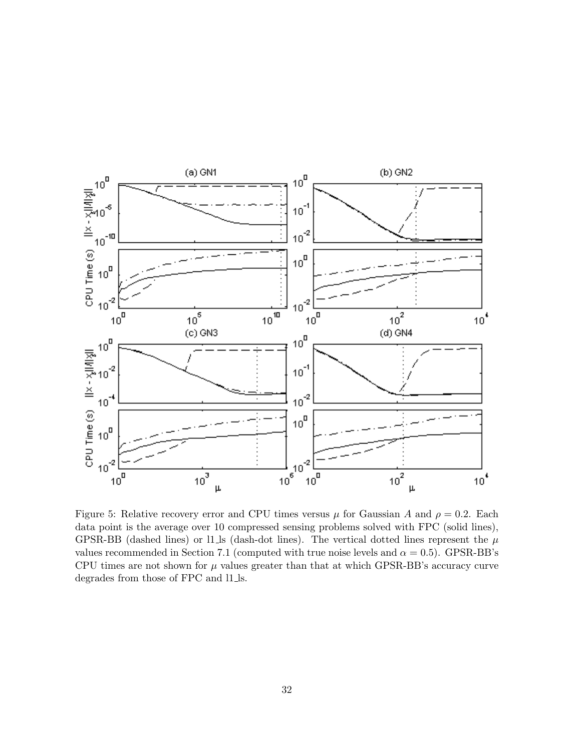

Figure 5: Relative recovery error and CPU times versus  $\mu$  for Gaussian A and  $\rho = 0.2$ . Each data point is the average over 10 compressed sensing problems solved with FPC (solid lines), GPSR-BB (dashed lines) or l1 ls (dash-dot lines). The vertical dotted lines represent the  $\mu$ values recommended in Section 7.1 (computed with true noise levels and  $\alpha = 0.5$ ). GPSR-BB's CPU times are not shown for  $\mu$  values greater than that at which GPSR-BB's accuracy curve degrades from those of FPC and l1 ls.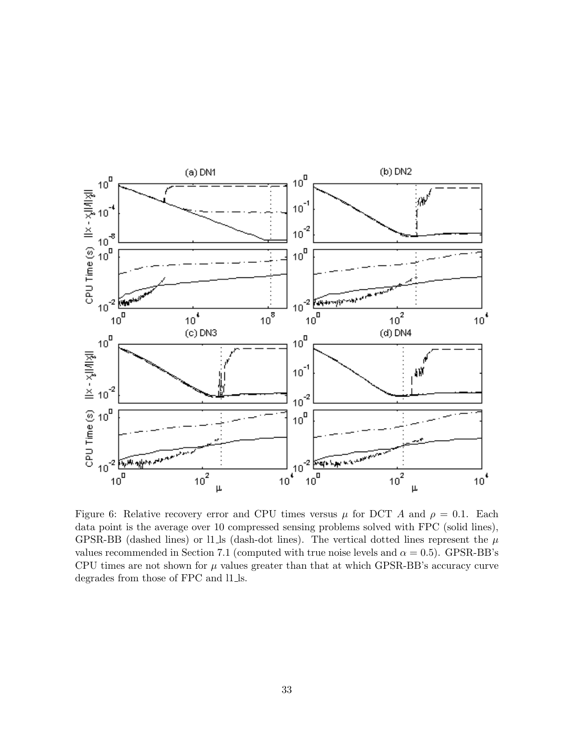

Figure 6: Relative recovery error and CPU times versus  $\mu$  for DCT A and  $\rho = 0.1$ . Each data point is the average over 10 compressed sensing problems solved with FPC (solid lines), GPSR-BB (dashed lines) or l1 ls (dash-dot lines). The vertical dotted lines represent the  $\mu$ values recommended in Section 7.1 (computed with true noise levels and  $\alpha = 0.5$ ). GPSR-BB's CPU times are not shown for  $\mu$  values greater than that at which GPSR-BB's accuracy curve degrades from those of FPC and l1 ls.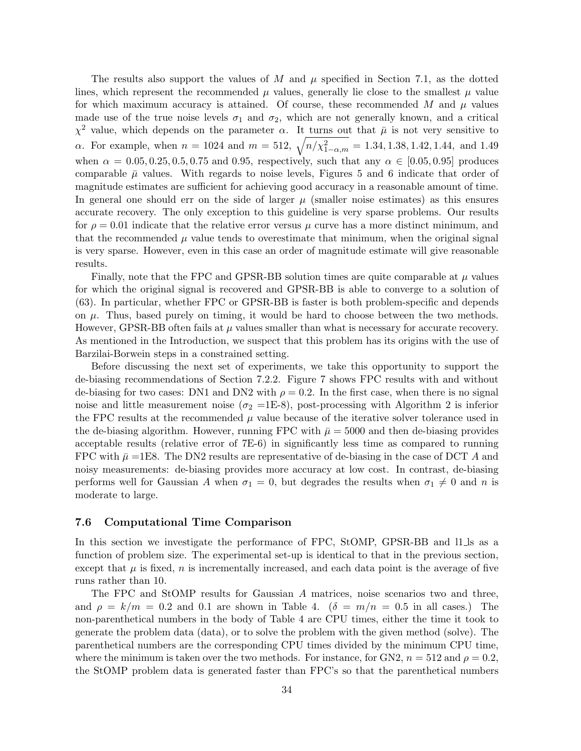The results also support the values of M and  $\mu$  specified in Section 7.1, as the dotted lines, which represent the recommended  $\mu$  values, generally lie close to the smallest  $\mu$  value for which maximum accuracy is attained. Of course, these recommended M and  $\mu$  values made use of the true noise levels  $\sigma_1$  and  $\sigma_2$ , which are not generally known, and a critical  $\chi^2$  value, which depends on the parameter  $\alpha$ . It turns out that  $\bar{\mu}$  is not very sensitive to α. For example, when  $n = 1024$  and  $m = 512$ ,  $\sqrt{n/\chi^2_{1-\alpha,m}} = 1.34, 1.38, 1.42, 1.44$ , and 1.49 when  $\alpha = 0.05, 0.25, 0.5, 0.75$  and 0.95, respectively, such that any  $\alpha \in [0.05, 0.95]$  produces comparable  $\bar{\mu}$  values. With regards to noise levels, Figures 5 and 6 indicate that order of magnitude estimates are sufficient for achieving good accuracy in a reasonable amount of time. In general one should err on the side of larger  $\mu$  (smaller noise estimates) as this ensures accurate recovery. The only exception to this guideline is very sparse problems. Our results for  $\rho = 0.01$  indicate that the relative error versus  $\mu$  curve has a more distinct minimum, and that the recommended  $\mu$  value tends to overestimate that minimum, when the original signal is very sparse. However, even in this case an order of magnitude estimate will give reasonable results.

Finally, note that the FPC and GPSR-BB solution times are quite comparable at  $\mu$  values for which the original signal is recovered and GPSR-BB is able to converge to a solution of (63). In particular, whether FPC or GPSR-BB is faster is both problem-specific and depends on  $\mu$ . Thus, based purely on timing, it would be hard to choose between the two methods. However, GPSR-BB often fails at  $\mu$  values smaller than what is necessary for accurate recovery. As mentioned in the Introduction, we suspect that this problem has its origins with the use of Barzilai-Borwein steps in a constrained setting.

Before discussing the next set of experiments, we take this opportunity to support the de-biasing recommendations of Section 7.2.2. Figure 7 shows FPC results with and without de-biasing for two cases: DN1 and DN2 with  $\rho = 0.2$ . In the first case, when there is no signal noise and little measurement noise ( $\sigma_2$  =1E-8), post-processing with Algorithm 2 is inferior the FPC results at the recommended  $\mu$  value because of the iterative solver tolerance used in the de-biasing algorithm. However, running FPC with  $\bar{\mu} = 5000$  and then de-biasing provides acceptable results (relative error of 7E-6) in significantly less time as compared to running FPC with  $\bar{\mu}$  =1E8. The DN2 results are representative of de-biasing in the case of DCT A and noisy measurements: de-biasing provides more accuracy at low cost. In contrast, de-biasing performs well for Gaussian A when  $\sigma_1 = 0$ , but degrades the results when  $\sigma_1 \neq 0$  and n is moderate to large.

#### 7.6 Computational Time Comparison

In this section we investigate the performance of FPC, StOMP, GPSR-BB and l1 ls as a function of problem size. The experimental set-up is identical to that in the previous section, except that  $\mu$  is fixed, n is incrementally increased, and each data point is the average of five runs rather than 10.

The FPC and StOMP results for Gaussian A matrices, noise scenarios two and three, and  $\rho = k/m = 0.2$  and 0.1 are shown in Table 4.  $(\delta = m/n = 0.5$  in all cases.) The non-parenthetical numbers in the body of Table 4 are CPU times, either the time it took to generate the problem data (data), or to solve the problem with the given method (solve). The parenthetical numbers are the corresponding CPU times divided by the minimum CPU time, where the minimum is taken over the two methods. For instance, for GN2,  $n = 512$  and  $\rho = 0.2$ , the StOMP problem data is generated faster than FPC's so that the parenthetical numbers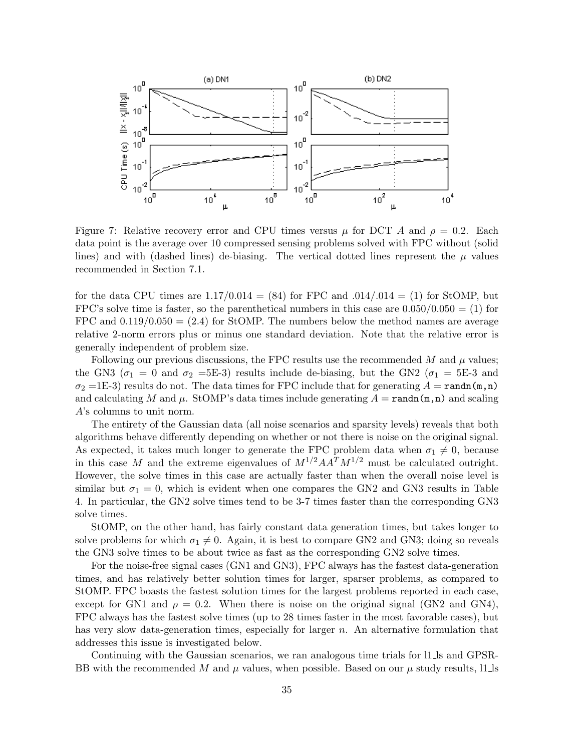

Figure 7: Relative recovery error and CPU times versus  $\mu$  for DCT A and  $\rho = 0.2$ . Each data point is the average over 10 compressed sensing problems solved with FPC without (solid lines) and with (dashed lines) de-biasing. The vertical dotted lines represent the  $\mu$  values recommended in Section 7.1.

for the data CPU times are  $1.17/0.014 = (84)$  for FPC and  $.014/0.014 = (1)$  for StOMP, but FPC's solve time is faster, so the parenthetical numbers in this case are  $0.050/0.050 = (1)$  for FPC and  $0.119/0.050 = (2.4)$  for StOMP. The numbers below the method names are average relative 2-norm errors plus or minus one standard deviation. Note that the relative error is generally independent of problem size.

Following our previous discussions, the FPC results use the recommended  $M$  and  $\mu$  values; the GN3 ( $\sigma_1 = 0$  and  $\sigma_2 = 5E-3$ ) results include de-biasing, but the GN2 ( $\sigma_1 = 5E-3$  and  $\sigma_2$  =1E-3) results do not. The data times for FPC include that for generating  $A = \text{randn}(m,n)$ and calculating M and  $\mu$ . StOMP's data times include generating  $A = \text{randn}(m,n)$  and scaling A's columns to unit norm.

The entirety of the Gaussian data (all noise scenarios and sparsity levels) reveals that both algorithms behave differently depending on whether or not there is noise on the original signal. As expected, it takes much longer to generate the FPC problem data when  $\sigma_1 \neq 0$ , because in this case M and the extreme eigenvalues of  $M^{1/2}AA^T M^{1/2}$  must be calculated outright. However, the solve times in this case are actually faster than when the overall noise level is similar but  $\sigma_1 = 0$ , which is evident when one compares the GN2 and GN3 results in Table 4. In particular, the GN2 solve times tend to be 3-7 times faster than the corresponding GN3 solve times.

StOMP, on the other hand, has fairly constant data generation times, but takes longer to solve problems for which  $\sigma_1 \neq 0$ . Again, it is best to compare GN2 and GN3; doing so reveals the GN3 solve times to be about twice as fast as the corresponding GN2 solve times.

For the noise-free signal cases (GN1 and GN3), FPC always has the fastest data-generation times, and has relatively better solution times for larger, sparser problems, as compared to StOMP. FPC boasts the fastest solution times for the largest problems reported in each case, except for GN1 and  $\rho = 0.2$ . When there is noise on the original signal (GN2 and GN4), FPC always has the fastest solve times (up to 28 times faster in the most favorable cases), but has very slow data-generation times, especially for larger n. An alternative formulation that addresses this issue is investigated below.

Continuing with the Gaussian scenarios, we ran analogous time trials for l1 ls and GPSR-BB with the recommended M and  $\mu$  values, when possible. Based on our  $\mu$  study results, 11 ls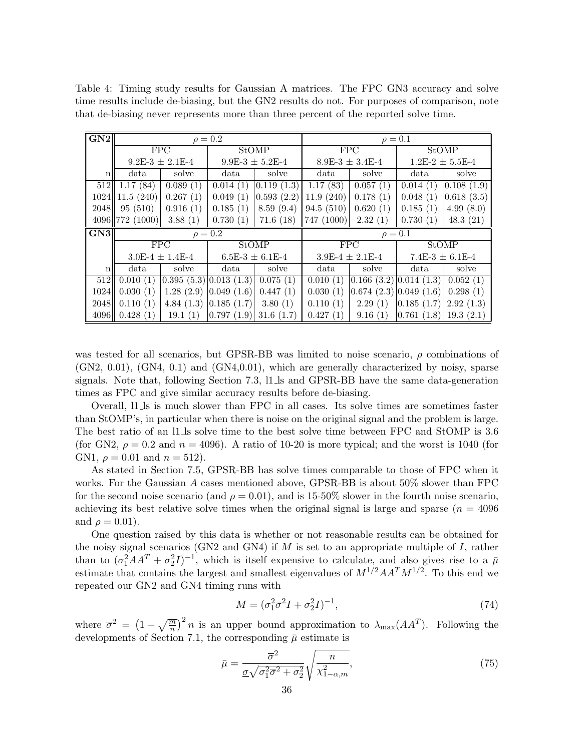Table 4: Timing study results for Gaussian A matrices. The FPC GN3 accuracy and solve time results include de-biasing, but the GN2 results do not. For purposes of comparison, note that de-biasing never represents more than three percent of the reported solve time.

| GN2             |                            |                         | $\rho = 0.2$        |                     | $\rho=0.1$             |                     |                                      |                     |
|-----------------|----------------------------|-------------------------|---------------------|---------------------|------------------------|---------------------|--------------------------------------|---------------------|
|                 |                            | <b>FPC</b>              | <b>StOMP</b>        |                     | <b>FPC</b>             |                     | <b>StOMP</b>                         |                     |
|                 |                            | $9.2E-3 \pm 2.1E-4$     |                     | $9.9E-3 \pm 5.2E-4$ |                        | $8.9E-3 \pm 3.4E-4$ |                                      | $1.2E-2 \pm 5.5E-4$ |
| $n_{\parallel}$ | data                       | solve                   | data                | solve               | data                   | solve               | data                                 | solve               |
| 512             | 1.17(84)                   | 0.089(1)                | 0.014(1)            | 0.119(1.3)          | 1.17(83)               | 0.057(1)            | 0.014(1)                             | 0.108(1.9)          |
| 1024            | 11.5(240)                  | 0.267(1)                | 0.049(1)            | 0.593(2.2)          | $\parallel$ 11.9 (240) | 0.178(1)            | 0.048(1)                             | 0.618(3.5)          |
| 2048            | 95(510)                    | 0.916(1)                | 0.185(1)            | 8.59(9.4)           | 94.5(510)              | 0.620(1)            | 0.185(1)                             | 4.99(8.0)           |
|                 | 4096 772 (1000)<br>3.88(1) |                         | 0.730(1)            | 71.6(18)            | $\parallel$ 747 (1000) | 2.32(1)             | 0.730(1)                             | 48.3(21)            |
| GN3             |                            |                         | $\rho = 0.2$        | $\rho=0.1$          |                        |                     |                                      |                     |
|                 |                            | <b>FPC</b>              | <b>StOMP</b>        |                     | <b>FPC</b>             |                     | <b>StOMP</b>                         |                     |
|                 |                            | $3.0E-4 \pm 1.4E-4$     | $6.5E-3 \pm 6.1E-4$ |                     | $3.9E-4 \pm 2.1E-4$    |                     | $7.4E-3 \pm 6.1E-4$                  |                     |
| $\mathbf n$     | data                       | solve                   | data                | solve               | data                   | solve               | data                                 | solve               |
| 512             | 0.010(1)                   | (0.395(5.3) 0.013(1.3)) |                     | 0.075(1)            | 0.010(1)               |                     | $ 0.166 \ (3.2) 0.014 \ (1.3) $      | 0.052(1)            |
| 1024            | 0.030(1)                   | 1.28(2.9)               | 0.049(1.6)          | 0.447(1)            | 0.030(1)               |                     | $ 0.674 \; (2.3)   0.049 \; (1.6)  $ | 0.298(1)            |
| 2048            | 0.110(1)                   | 4.84(1.3)               | 0.185(1.7)          | 3.80(1)             | 0.110(1)               | 2.29(1)             | 0.185(1.7)                           | 2.92(1.3)           |
| 4096            | 0.428(1)                   | 19.1(1)                 | 0.797(1.9)          | 31.6(1.7)           | 0.427(1)               | 9.16(1)             | 0.761(1.8)                           | 19.3(2.1)           |

was tested for all scenarios, but GPSR-BB was limited to noise scenario,  $\rho$  combinations of (GN2, 0.01), (GN4, 0.1) and (GN4,0.01), which are generally characterized by noisy, sparse signals. Note that, following Section 7.3, l1 ls and GPSR-BB have the same data-generation times as FPC and give similar accuracy results before de-biasing.

Overall, l1 ls is much slower than FPC in all cases. Its solve times are sometimes faster than StOMP's, in particular when there is noise on the original signal and the problem is large. The best ratio of an 11.1s solve time to the best solve time between FPC and StOMP is 3.6 (for GN2,  $\rho = 0.2$  and  $n = 4096$ ). A ratio of 10-20 is more typical; and the worst is 1040 (for GN1,  $\rho = 0.01$  and  $n = 512$ .

As stated in Section 7.5, GPSR-BB has solve times comparable to those of FPC when it works. For the Gaussian A cases mentioned above, GPSR-BB is about 50% slower than FPC for the second noise scenario (and  $\rho = 0.01$ ), and is 15-50% slower in the fourth noise scenario, achieving its best relative solve times when the original signal is large and sparse ( $n = 4096$ ) and  $\rho = 0.01$ ).

One question raised by this data is whether or not reasonable results can be obtained for the noisy signal scenarios (GN2 and GN4) if  $M$  is set to an appropriate multiple of  $I$ , rather than to  $(\sigma_1^2 A A^T + \sigma_2^2 I)^{-1}$ , which is itself expensive to calculate, and also gives rise to a  $\bar{\mu}$ estimate that contains the largest and smallest eigenvalues of  $M^{1/2}AA^T M^{1/2}$ . To this end we repeated our GN2 and GN4 timing runs with

$$
M = (\sigma_1^2 \overline{\sigma}^2 I + \sigma_2^2 I)^{-1},\tag{74}
$$

where  $\bar{\sigma}^2 = (1 + \sqrt{\frac{m}{n}})^2 n$  is an upper bound approximation to  $\lambda_{\max}(AA^T)$ . Following the developments of Section 7.1, the corresponding  $\bar{\mu}$  estimate is

$$
\bar{\mu} = \frac{\overline{\sigma}^2}{\underline{\sigma}\sqrt{\sigma_1^2 \overline{\sigma}^2 + \sigma_2^2}} \sqrt{\frac{n}{\chi_{1-\alpha,m}^2}},\tag{75}
$$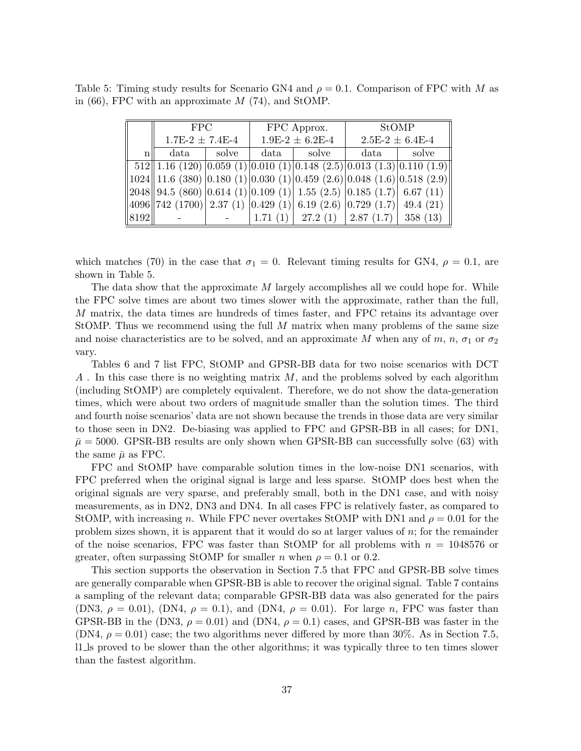| Table 5: Timing study results for Scenario GN4 and $\rho = 0.1$ . Comparison of FPC with M as |  |  |  |  |  |
|-----------------------------------------------------------------------------------------------|--|--|--|--|--|
| in (66), FPC with an approximate $M$ (74), and StOMP.                                         |  |  |  |  |  |

|                 | <b>FPC</b>          |  |      | FPC Approx.                                                                                                                                                                                              | <b>StOMP</b>        |       |  |
|-----------------|---------------------|--|------|----------------------------------------------------------------------------------------------------------------------------------------------------------------------------------------------------------|---------------------|-------|--|
|                 | $1.7E-2 \pm 7.4E-4$ |  |      | $1.9E-2 \pm 6.2E-4$                                                                                                                                                                                      | $2.5E-2 \pm 6.4E-4$ |       |  |
| $n_{\parallel}$ | solve<br>data       |  | data | $\vert$ solve                                                                                                                                                                                            |                     | solve |  |
|                 |                     |  |      | $512$   1.16 (120) 0.059 (1) 0.010 (1) 0.148 (2.5) 0.013 (1.3) 0.110 (1.9)                                                                                                                               |                     |       |  |
|                 |                     |  |      | $\left 1024\right 11.6(380)\left 0.180(1)\right 0.030(1)\left 0.459(2.6)\right 0.048(1.6)\left 0.518(2.9)\right $                                                                                        |                     |       |  |
|                 |                     |  |      | $\left  2048 \right  94.5 \left( 860 \right) \left  0.614 \left( 1 \right) \right  0.109 \left( 1 \right) \left  1.55 \left( 2.5 \right) \left  0.185 \left( 1.7 \right) \right  6.67 \left( 11 \right)$ |                     |       |  |
|                 |                     |  |      | $ 4096  742 (1700)  2.37 (1)  0.429 (1)  6.19 (2.6)  0.729 (1.7)  49.4 (21)$                                                                                                                             |                     |       |  |
| 8192            |                     |  |      | $\vert 1.71 \; (1) \vert 27.2 \; (1) \vert 2.87 \; (1.7) \vert 358 \; (13)$                                                                                                                              |                     |       |  |

which matches (70) in the case that  $\sigma_1 = 0$ . Relevant timing results for GN4,  $\rho = 0.1$ , are shown in Table 5.

The data show that the approximate M largely accomplishes all we could hope for. While the FPC solve times are about two times slower with the approximate, rather than the full, M matrix, the data times are hundreds of times faster, and FPC retains its advantage over StOMP. Thus we recommend using the full M matrix when many problems of the same size and noise characteristics are to be solved, and an approximate M when any of m, n,  $\sigma_1$  or  $\sigma_2$ vary.

Tables 6 and 7 list FPC, StOMP and GPSR-BB data for two noise scenarios with DCT  $A$ . In this case there is no weighting matrix  $M$ , and the problems solved by each algorithm (including StOMP) are completely equivalent. Therefore, we do not show the data-generation times, which were about two orders of magnitude smaller than the solution times. The third and fourth noise scenarios' data are not shown because the trends in those data are very similar to those seen in DN2. De-biasing was applied to FPC and GPSR-BB in all cases; for DN1,  $\bar{\mu} = 5000$ . GPSR-BB results are only shown when GPSR-BB can successfully solve (63) with the same  $\bar{\mu}$  as FPC.

FPC and StOMP have comparable solution times in the low-noise DN1 scenarios, with FPC preferred when the original signal is large and less sparse. StOMP does best when the original signals are very sparse, and preferably small, both in the DN1 case, and with noisy measurements, as in DN2, DN3 and DN4. In all cases FPC is relatively faster, as compared to StOMP, with increasing n. While FPC never overtakes StOMP with DN1 and  $\rho = 0.01$  for the problem sizes shown, it is apparent that it would do so at larger values of n; for the remainder of the noise scenarios, FPC was faster than StOMP for all problems with  $n = 1048576$  or greater, often surpassing StOMP for smaller *n* when  $\rho = 0.1$  or 0.2.

This section supports the observation in Section 7.5 that FPC and GPSR-BB solve times are generally comparable when GPSR-BB is able to recover the original signal. Table 7 contains a sampling of the relevant data; comparable GPSR-BB data was also generated for the pairs (DN3,  $\rho = 0.01$ ), (DN4,  $\rho = 0.1$ ), and (DN4,  $\rho = 0.01$ ). For large n, FPC was faster than GPSR-BB in the (DN3,  $\rho = 0.01$ ) and (DN4,  $\rho = 0.1$ ) cases, and GPSR-BB was faster in the  $(DN4, \rho = 0.01)$  case; the two algorithms never differed by more than 30%. As in Section 7.5, l1 ls proved to be slower than the other algorithms; it was typically three to ten times slower than the fastest algorithm.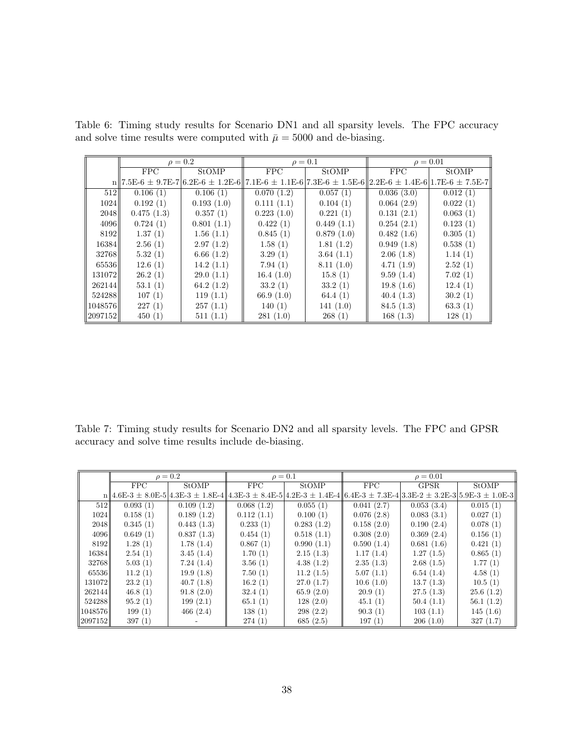|         |                     | $\rho = 0.2$ |                                                                                                                     | $\rho=0.1$   | $\rho = 0.01$ |              |
|---------|---------------------|--------------|---------------------------------------------------------------------------------------------------------------------|--------------|---------------|--------------|
|         | <b>FPC</b><br>StOMP |              | <b>FPC</b>                                                                                                          | <b>StOMP</b> | <b>FPC</b>    | <b>StOMP</b> |
|         |                     |              | $n  7.5E-6 \pm 9.7E-7 6.2E-6 \pm 1.2E-6  7.1E-6 \pm 1.1E-6 7.3E-6 \pm 1.5E-6  2.2E-6 \pm 1.4E-6 1.7E-6 \pm 7.5E-7 $ |              |               |              |
| 512     | 0.106(1)            | 0.106(1)     | 0.070(1.2)                                                                                                          | 0.057(1)     | 0.036(3.0)    | 0.012(1)     |
| 1024    | 0.192(1)            | 0.193(1.0)   | 0.111(1.1)                                                                                                          | 0.104(1)     | 0.064(2.9)    | 0.022(1)     |
| 2048    | 0.475(1.3)          | 0.357(1)     | 0.223(1.0)                                                                                                          | 0.221(1)     | 0.131(2.1)    | 0.063(1)     |
| 4096    | 0.724(1)            | 0.801(1.1)   | 0.422(1)                                                                                                            | 0.449(1.1)   | 0.254(2.1)    | 0.123(1)     |
| 8192    | 1.37(1)             | 1.56(1.1)    | 0.845(1)                                                                                                            | 0.879(1.0)   | 0.482(1.6)    | 0.305(1)     |
| 16384   | 2.56(1)             | 2.97(1.2)    | 1.58(1)                                                                                                             | 1.81(1.2)    | 0.949(1.8)    | 0.538(1)     |
| 32768   | 5.32(1)             | 6.66(1.2)    | 3.29(1)                                                                                                             | 3.64(1.1)    | 2.06(1.8)     | 1.14(1)      |
| 65536   | 12.6(1)             | 14.2(1.1)    | 7.94(1)                                                                                                             | 8.11(1.0)    | 4.71(1.9)     | 2.52(1)      |
| 131072  | 26.2(1)             | 29.0(1.1)    | 16.4(1.0)                                                                                                           | 15.8(1)      | 9.59(1.4)     | 7.02(1)      |
| 262144  | 53.1(1)             | 64.2 $(1.2)$ | 33.2(1)                                                                                                             | 33.2(1)      | 19.8(1.6)     | 12.4(1)      |
| 524288  | 107(1)              | 119(1.1)     | 66.9 $(1.0)$                                                                                                        | 64.4 $(1)$   | 40.4(1.3)     | 30.2(1)      |
| 1048576 | 227(1)              | 257(1.1)     | 140(1)                                                                                                              | 141(1.0)     | 84.5(1.3)     | 63.3(1)      |
| 2097152 | 450(1)              | 511(1.1)     | 281(1.0)                                                                                                            | 268(1)       | 168(1.3)      | 128(1)       |

Table 6: Timing study results for Scenario DN1 and all sparsity levels. The FPC accuracy and solve time results were computed with  $\bar{\mu} = 5000$  and de-biasing.

Table 7: Timing study results for Scenario DN2 and all sparsity levels. The FPC and GPSR accuracy and solve time results include de-biasing.

|         | $\rho = 0.2$                               |            | $\rho = 0.1$        |            | $\rho = 0.01$                                                                                       |            |              |  |  |  |  |  |
|---------|--------------------------------------------|------------|---------------------|------------|-----------------------------------------------------------------------------------------------------|------------|--------------|--|--|--|--|--|
|         | FPC<br><b>StOMP</b>                        |            | FPC<br><b>StOMP</b> |            | FPC<br><b>GPSR</b>                                                                                  |            | <b>StOMP</b> |  |  |  |  |  |
|         | $n  4.6E-3 \pm 8.0E-5 4.3E-3 \pm 1.8E-4  $ |            |                     |            | $4.3E-3 \pm 8.4E-5$ $4.2E-3 \pm 1.4E-4$ $6.4E-3 \pm 7.3E-4$ $3.3E-2 \pm 3.2E-3$ $5.9E-3 \pm 1.0E-3$ |            |              |  |  |  |  |  |
| 512     | 0.093(1)                                   | 0.109(1.2) | 0.068(1.2)          | 0.055(1)   | 0.041(2.7)                                                                                          | 0.053(3.4) | 0.015(1)     |  |  |  |  |  |
| 1024    | 0.158(1)                                   | 0.189(1.2) | 0.112(1.1)          | 0.100(1)   | 0.076(2.8)                                                                                          | 0.083(3.1) | 0.027(1)     |  |  |  |  |  |
| 20481   | 0.345(1)                                   | 0.443(1.3) | 0.233(1)            | 0.283(1.2) | 0.158(2.0)                                                                                          | 0.190(2.4) | 0.078(1)     |  |  |  |  |  |
| 4096    | 0.649(1)                                   | 0.837(1.3) | 0.454(1)            | 0.518(1.1) | 0.308(2.0)                                                                                          | 0.369(2.4) | 0.156(1)     |  |  |  |  |  |
| 8192    | 1.28(1)                                    | 1.78(1.4)  | 0.867(1)            | 0.990(1.1) | 0.590(1.4)                                                                                          | 0.681(1.6) | 0.421(1)     |  |  |  |  |  |
| 16384   | 2.54(1)                                    | 3.45(1.4)  | 1.70(1)             | 2.15(1.3)  | 1.17(1.4)                                                                                           | 1.27(1.5)  | 0.865(1)     |  |  |  |  |  |
| 32768   | 5.03(1)                                    | 7.24(1.4)  | 3.56(1)             | 4.38(1.2)  | 2.35(1.3)                                                                                           | 2.68(1.5)  | 1.77(1)      |  |  |  |  |  |
| 65536   | 11.2(1)                                    | 19.9(1.8)  | 7.50(1)             | 11.2(1.5)  | 5.07(1.1)                                                                                           | 6.54(1.4)  | 4.58(1)      |  |  |  |  |  |
| 131072  | 23.2(1)                                    | 40.7(1.8)  | 16.2(1)             | 27.0(1.7)  | 10.6(1.0)                                                                                           | 13.7(1.3)  | 10.5(1)      |  |  |  |  |  |
| 262144  | 46.8(1)                                    | 91.8(2.0)  | 32.4(1)             | 65.9(2.0)  | 20.9(1)                                                                                             | 27.5(1.3)  | 25.6(1.2)    |  |  |  |  |  |
| 524288  | 95.2(1)                                    | 199(2.1)   | 65.1(1)             | 128(2.0)   | 45.1(1)                                                                                             | 50.4(1.1)  | 56.1(1.2)    |  |  |  |  |  |
| 1048576 | 199(1)                                     | 466(2.4)   | 138(1)              | 298(2.2)   | 90.3(1)                                                                                             | 103(1.1)   | 145(1.6)     |  |  |  |  |  |
| 2097152 | 397(1)                                     |            | 274(1)              | 685(2.5)   | 197(1)                                                                                              | 206(1.0)   | 327(1.7)     |  |  |  |  |  |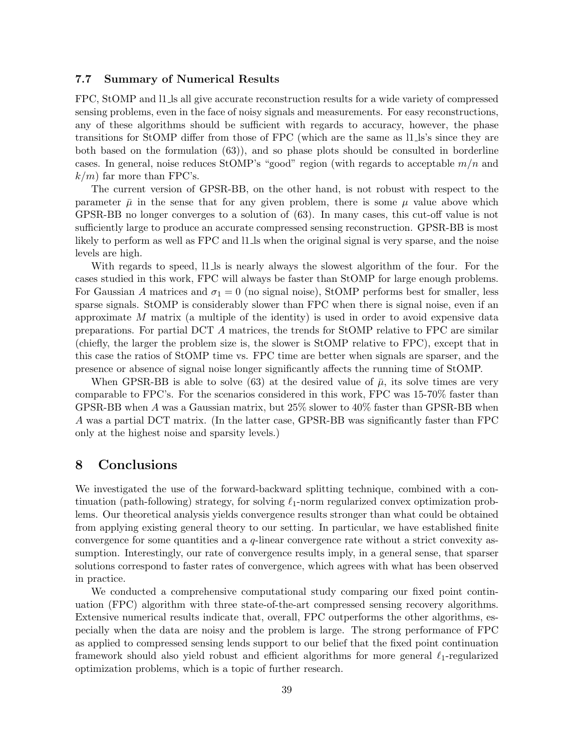#### 7.7 Summary of Numerical Results

FPC, StOMP and 11 ls all give accurate reconstruction results for a wide variety of compressed sensing problems, even in the face of noisy signals and measurements. For easy reconstructions, any of these algorithms should be sufficient with regards to accuracy, however, the phase transitions for StOMP differ from those of FPC (which are the same as l1 ls's since they are both based on the formulation (63)), and so phase plots should be consulted in borderline cases. In general, noise reduces StOMP's "good" region (with regards to acceptable  $m/n$  and  $k/m$  far more than FPC's.

The current version of GPSR-BB, on the other hand, is not robust with respect to the parameter  $\bar{\mu}$  in the sense that for any given problem, there is some  $\mu$  value above which GPSR-BB no longer converges to a solution of (63). In many cases, this cut-off value is not sufficiently large to produce an accurate compressed sensing reconstruction. GPSR-BB is most likely to perform as well as FPC and  $11$  ds when the original signal is very sparse, and the noise levels are high.

With regards to speed, 11 ls is nearly always the slowest algorithm of the four. For the cases studied in this work, FPC will always be faster than StOMP for large enough problems. For Gaussian A matrices and  $\sigma_1 = 0$  (no signal noise), StOMP performs best for smaller, less sparse signals. StOMP is considerably slower than FPC when there is signal noise, even if an approximate  $M$  matrix (a multiple of the identity) is used in order to avoid expensive data preparations. For partial DCT A matrices, the trends for StOMP relative to FPC are similar (chiefly, the larger the problem size is, the slower is StOMP relative to FPC), except that in this case the ratios of StOMP time vs. FPC time are better when signals are sparser, and the presence or absence of signal noise longer significantly affects the running time of StOMP.

When GPSR-BB is able to solve (63) at the desired value of  $\bar{\mu}$ , its solve times are very comparable to FPC's. For the scenarios considered in this work, FPC was 15-70% faster than GPSR-BB when A was a Gaussian matrix, but 25% slower to 40% faster than GPSR-BB when A was a partial DCT matrix. (In the latter case, GPSR-BB was significantly faster than FPC only at the highest noise and sparsity levels.)

## 8 Conclusions

We investigated the use of the forward-backward splitting technique, combined with a continuation (path-following) strategy, for solving  $\ell_1$ -norm regularized convex optimization problems. Our theoretical analysis yields convergence results stronger than what could be obtained from applying existing general theory to our setting. In particular, we have established finite convergence for some quantities and a  $q$ -linear convergence rate without a strict convexity assumption. Interestingly, our rate of convergence results imply, in a general sense, that sparser solutions correspond to faster rates of convergence, which agrees with what has been observed in practice.

We conducted a comprehensive computational study comparing our fixed point continuation (FPC) algorithm with three state-of-the-art compressed sensing recovery algorithms. Extensive numerical results indicate that, overall, FPC outperforms the other algorithms, especially when the data are noisy and the problem is large. The strong performance of FPC as applied to compressed sensing lends support to our belief that the fixed point continuation framework should also yield robust and efficient algorithms for more general  $\ell_1$ -regularized optimization problems, which is a topic of further research.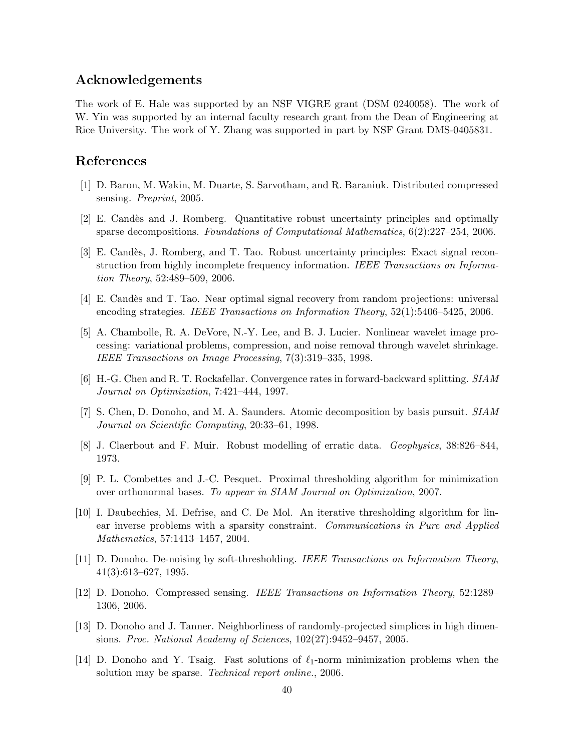## Acknowledgements

The work of E. Hale was supported by an NSF VIGRE grant (DSM 0240058). The work of W. Yin was supported by an internal faculty research grant from the Dean of Engineering at Rice University. The work of Y. Zhang was supported in part by NSF Grant DMS-0405831.

## References

- [1] D. Baron, M. Wakin, M. Duarte, S. Sarvotham, and R. Baraniuk. Distributed compressed sensing. Preprint, 2005.
- [2] E. Candès and J. Romberg. Quantitative robust uncertainty principles and optimally sparse decompositions. Foundations of Computational Mathematics, 6(2):227–254, 2006.
- [3] E. Cand`es, J. Romberg, and T. Tao. Robust uncertainty principles: Exact signal reconstruction from highly incomplete frequency information. IEEE Transactions on Information Theory, 52:489–509, 2006.
- [4] E. Candès and T. Tao. Near optimal signal recovery from random projections: universal encoding strategies. IEEE Transactions on Information Theory, 52(1):5406–5425, 2006.
- [5] A. Chambolle, R. A. DeVore, N.-Y. Lee, and B. J. Lucier. Nonlinear wavelet image processing: variational problems, compression, and noise removal through wavelet shrinkage. IEEE Transactions on Image Processing, 7(3):319–335, 1998.
- [6] H.-G. Chen and R. T. Rockafellar. Convergence rates in forward-backward splitting. SIAM Journal on Optimization, 7:421–444, 1997.
- [7] S. Chen, D. Donoho, and M. A. Saunders. Atomic decomposition by basis pursuit. SIAM Journal on Scientific Computing, 20:33–61, 1998.
- [8] J. Claerbout and F. Muir. Robust modelling of erratic data. Geophysics, 38:826–844, 1973.
- [9] P. L. Combettes and J.-C. Pesquet. Proximal thresholding algorithm for minimization over orthonormal bases. To appear in SIAM Journal on Optimization, 2007.
- [10] I. Daubechies, M. Defrise, and C. De Mol. An iterative thresholding algorithm for linear inverse problems with a sparsity constraint. Communications in Pure and Applied Mathematics, 57:1413–1457, 2004.
- [11] D. Donoho. De-noising by soft-thresholding. IEEE Transactions on Information Theory, 41(3):613–627, 1995.
- [12] D. Donoho. Compressed sensing. IEEE Transactions on Information Theory, 52:1289– 1306, 2006.
- [13] D. Donoho and J. Tanner. Neighborliness of randomly-projected simplices in high dimensions. Proc. National Academy of Sciences, 102(27):9452–9457, 2005.
- [14] D. Donoho and Y. Tsaig. Fast solutions of  $\ell_1$ -norm minimization problems when the solution may be sparse. *Technical report online.*, 2006.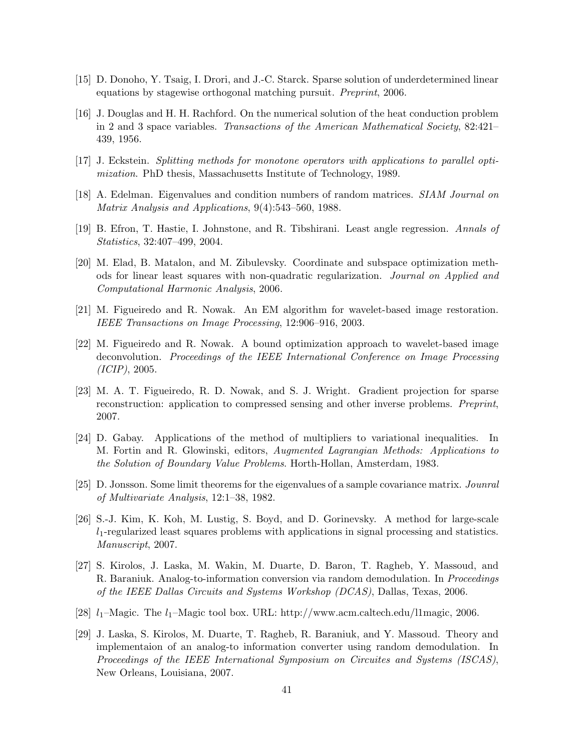- [15] D. Donoho, Y. Tsaig, I. Drori, and J.-C. Starck. Sparse solution of underdetermined linear equations by stagewise orthogonal matching pursuit. Preprint, 2006.
- [16] J. Douglas and H. H. Rachford. On the numerical solution of the heat conduction problem in 2 and 3 space variables. Transactions of the American Mathematical Society, 82:421– 439, 1956.
- [17] J. Eckstein. Splitting methods for monotone operators with applications to parallel optimization. PhD thesis, Massachusetts Institute of Technology, 1989.
- [18] A. Edelman. Eigenvalues and condition numbers of random matrices. SIAM Journal on Matrix Analysis and Applications, 9(4):543–560, 1988.
- [19] B. Efron, T. Hastie, I. Johnstone, and R. Tibshirani. Least angle regression. Annals of Statistics, 32:407–499, 2004.
- [20] M. Elad, B. Matalon, and M. Zibulevsky. Coordinate and subspace optimization methods for linear least squares with non-quadratic regularization. Journal on Applied and Computational Harmonic Analysis, 2006.
- [21] M. Figueiredo and R. Nowak. An EM algorithm for wavelet-based image restoration. IEEE Transactions on Image Processing, 12:906–916, 2003.
- [22] M. Figueiredo and R. Nowak. A bound optimization approach to wavelet-based image deconvolution. Proceedings of the IEEE International Conference on Image Processing (ICIP), 2005.
- [23] M. A. T. Figueiredo, R. D. Nowak, and S. J. Wright. Gradient projection for sparse reconstruction: application to compressed sensing and other inverse problems. Preprint, 2007.
- [24] D. Gabay. Applications of the method of multipliers to variational inequalities. In M. Fortin and R. Glowinski, editors, Augmented Lagrangian Methods: Applications to the Solution of Boundary Value Problems. Horth-Hollan, Amsterdam, 1983.
- [25] D. Jonsson. Some limit theorems for the eigenvalues of a sample covariance matrix. Jounral of Multivariate Analysis, 12:1–38, 1982.
- [26] S.-J. Kim, K. Koh, M. Lustig, S. Boyd, and D. Gorinevsky. A method for large-scale  $l_1$ -regularized least squares problems with applications in signal processing and statistics. Manuscript, 2007.
- [27] S. Kirolos, J. Laska, M. Wakin, M. Duarte, D. Baron, T. Ragheb, Y. Massoud, and R. Baraniuk. Analog-to-information conversion via random demodulation. In Proceedings of the IEEE Dallas Circuits and Systems Workshop (DCAS), Dallas, Texas, 2006.
- [28]  $l_1$ –Magic. The  $l_1$ –Magic tool box. URL: http://www.acm.caltech.edu/l1magic, 2006.
- [29] J. Laska, S. Kirolos, M. Duarte, T. Ragheb, R. Baraniuk, and Y. Massoud. Theory and implementaion of an analog-to information converter using random demodulation. In Proceedings of the IEEE International Symposium on Circuites and Systems (ISCAS), New Orleans, Louisiana, 2007.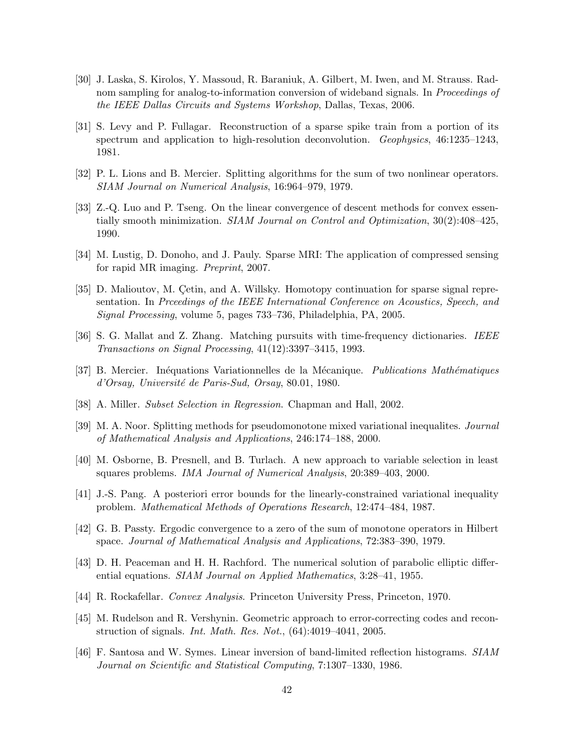- [30] J. Laska, S. Kirolos, Y. Massoud, R. Baraniuk, A. Gilbert, M. Iwen, and M. Strauss. Radnom sampling for analog-to-information conversion of wideband signals. In *Proceedings of* the IEEE Dallas Circuits and Systems Workshop, Dallas, Texas, 2006.
- [31] S. Levy and P. Fullagar. Reconstruction of a sparse spike train from a portion of its spectrum and application to high-resolution deconvolution. Geophysics, 46:1235–1243, 1981.
- [32] P. L. Lions and B. Mercier. Splitting algorithms for the sum of two nonlinear operators. SIAM Journal on Numerical Analysis, 16:964–979, 1979.
- [33] Z.-Q. Luo and P. Tseng. On the linear convergence of descent methods for convex essentially smooth minimization. SIAM Journal on Control and Optimization, 30(2):408–425, 1990.
- [34] M. Lustig, D. Donoho, and J. Pauly. Sparse MRI: The application of compressed sensing for rapid MR imaging. Preprint, 2007.
- [35] D. Malioutov, M. Cetin, and A. Willsky. Homotopy continuation for sparse signal representation. In Prceedings of the IEEE International Conference on Acoustics, Speech, and Signal Processing, volume 5, pages 733–736, Philadelphia, PA, 2005.
- [36] S. G. Mallat and Z. Zhang. Matching pursuits with time-frequency dictionaries. IEEE Transactions on Signal Processing, 41(12):3397–3415, 1993.
- [37] B. Mercier. Inéquations Variationnelles de la Mécanique. Publications Mathématiques d'Orsay, Université de Paris-Sud, Orsay, 80.01, 1980.
- [38] A. Miller. Subset Selection in Regression. Chapman and Hall, 2002.
- [39] M. A. Noor. Splitting methods for pseudomonotone mixed variational inequalites. Journal of Mathematical Analysis and Applications, 246:174–188, 2000.
- [40] M. Osborne, B. Presnell, and B. Turlach. A new approach to variable selection in least squares problems. IMA Journal of Numerical Analysis, 20:389–403, 2000.
- [41] J.-S. Pang. A posteriori error bounds for the linearly-constrained variational inequality problem. Mathematical Methods of Operations Research, 12:474–484, 1987.
- [42] G. B. Passty. Ergodic convergence to a zero of the sum of monotone operators in Hilbert space. Journal of Mathematical Analysis and Applications, 72:383–390, 1979.
- [43] D. H. Peaceman and H. H. Rachford. The numerical solution of parabolic elliptic differential equations. SIAM Journal on Applied Mathematics, 3:28–41, 1955.
- [44] R. Rockafellar. Convex Analysis. Princeton University Press, Princeton, 1970.
- [45] M. Rudelson and R. Vershynin. Geometric approach to error-correcting codes and reconstruction of signals. Int. Math. Res. Not., (64):4019–4041, 2005.
- [46] F. Santosa and W. Symes. Linear inversion of band-limited reflection histograms. SIAM Journal on Scientific and Statistical Computing, 7:1307–1330, 1986.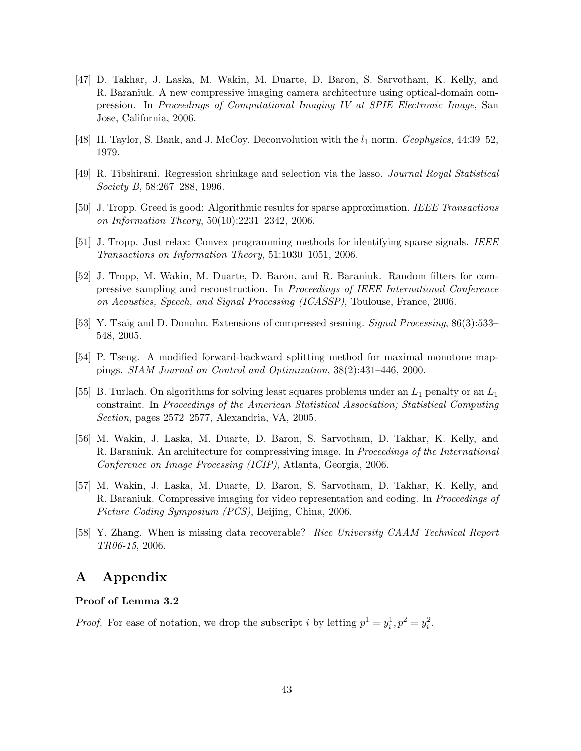- [47] D. Takhar, J. Laska, M. Wakin, M. Duarte, D. Baron, S. Sarvotham, K. Kelly, and R. Baraniuk. A new compressive imaging camera architecture using optical-domain compression. In Proceedings of Computational Imaging IV at SPIE Electronic Image, San Jose, California, 2006.
- [48] H. Taylor, S. Bank, and J. McCoy. Deconvolution with the  $l_1$  norm. Geophysics, 44:39–52, 1979.
- [49] R. Tibshirani. Regression shrinkage and selection via the lasso. Journal Royal Statistical Society B, 58:267–288, 1996.
- [50] J. Tropp. Greed is good: Algorithmic results for sparse approximation. IEEE Transactions on Information Theory, 50(10):2231–2342, 2006.
- [51] J. Tropp. Just relax: Convex programming methods for identifying sparse signals. IEEE Transactions on Information Theory, 51:1030–1051, 2006.
- [52] J. Tropp, M. Wakin, M. Duarte, D. Baron, and R. Baraniuk. Random filters for compressive sampling and reconstruction. In Proceedings of IEEE International Conference on Acoustics, Speech, and Signal Processing (ICASSP), Toulouse, France, 2006.
- [53] Y. Tsaig and D. Donoho. Extensions of compressed sesning. Signal Processing, 86(3):533– 548, 2005.
- [54] P. Tseng. A modified forward-backward splitting method for maximal monotone mappings. SIAM Journal on Control and Optimization, 38(2):431–446, 2000.
- [55] B. Turlach. On algorithms for solving least squares problems under an  $L_1$  penalty or an  $L_1$ constraint. In Proceedings of the American Statistical Association; Statistical Computing Section, pages 2572–2577, Alexandria, VA, 2005.
- [56] M. Wakin, J. Laska, M. Duarte, D. Baron, S. Sarvotham, D. Takhar, K. Kelly, and R. Baraniuk. An architecture for compressiving image. In Proceedings of the International Conference on Image Processing (ICIP), Atlanta, Georgia, 2006.
- [57] M. Wakin, J. Laska, M. Duarte, D. Baron, S. Sarvotham, D. Takhar, K. Kelly, and R. Baraniuk. Compressive imaging for video representation and coding. In Proceedings of Picture Coding Symposium (PCS), Beijing, China, 2006.
- [58] Y. Zhang. When is missing data recoverable? Rice University CAAM Technical Report TR06-15, 2006.

## A Appendix

#### Proof of Lemma 3.2

*Proof.* For ease of notation, we drop the subscript i by letting  $p^1 = y_i^1, p^2 = y_i^2$ .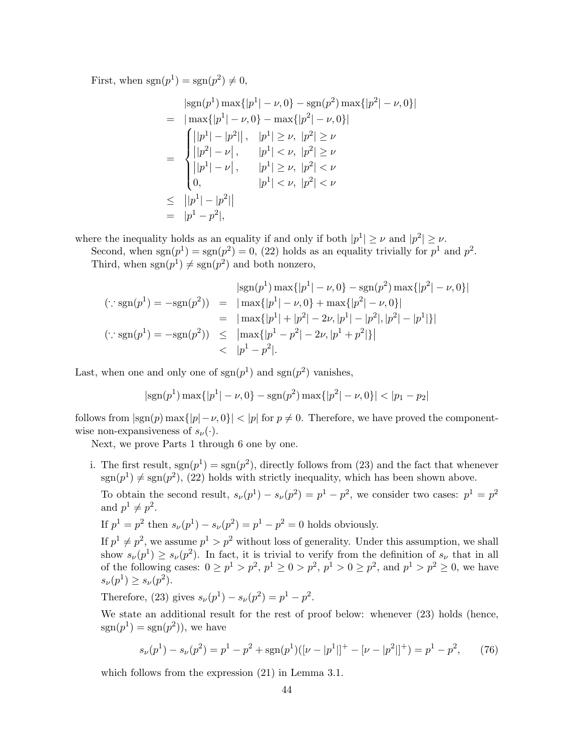First, when  $sgn(p^1) = sgn(p^2) \neq 0$ ,

$$
\begin{aligned}\n|\text{sgn}(p^1) \max\{|p^1| - \nu, 0\} - \text{sgn}(p^2) \max\{|p^2| - \nu, 0\}| \\
&= |\max\{|p^1| - \nu, 0\} - \max\{|p^2| - \nu, 0\}| \\
&= |\begin{cases}\n|p^1| - |p^2|, & |p^1| \ge \nu, |p^2| \ge \nu \\
|p^2| - \nu|, & |p^1| < \nu, |p^2| \ge \nu \\
|p^1| - \nu|, & |p^1| \ge \nu, |p^2| < \nu \\
0, & |p^1| < \nu, |p^2| < \nu\n\end{cases} \\
&\leq |\begin{vmatrix} |p^1| - |p^2| \\ |p^1 - p^2| \end{vmatrix}\n\end{aligned}
$$

where the inequality holds as an equality if and only if both  $|p^1| \geq \nu$  and  $|p^2| \geq \nu$ .

Second, when  $sgn(p^1) = sgn(p^2) = 0$ , (22) holds as an equality trivially for  $p^1$  and  $p^2$ . Third, when  $sgn(p^1) \neq sgn(p^2)$  and both nonzero,

$$
|\text{sgn}(p^1) \max\{|p^1| - \nu, 0\} - \text{sgn}(p^2) \max\{|p^2| - \nu, 0\}|
$$
  
\n
$$
(\because \text{sgn}(p^1) = -\text{sgn}(p^2)) = |\max\{|p^1| - \nu, 0\} + \max\{|p^2| - \nu, 0\}|
$$
  
\n
$$
= |\max\{|p^1| + |p^2| - 2\nu, |p^1| - |p^2|, |p^2| - |p^1|\}|
$$
  
\n
$$
(\because \text{sgn}(p^1) = -\text{sgn}(p^2)) \le |\max\{|p^1 - p^2| - 2\nu, |p^1 + p^2|\}|
$$
  
\n
$$
< |p^1 - p^2|.
$$

Last, when one and only one of  $sgn(p<sup>1</sup>)$  and  $sgn(p<sup>2</sup>)$  vanishes,

$$
|\text{sgn}(p^1) \max\{|p^1| - \nu, 0\} - \text{sgn}(p^2) \max\{|p^2| - \nu, 0\}| < |p_1 - p_2|
$$

follows from  $|\text{sgn}(p) \max\{|p| - \nu, 0\}| < |p|$  for  $p \neq 0$ . Therefore, we have proved the componentwise non-expansiveness of  $s_{\nu}(\cdot)$ .

Next, we prove Parts 1 through 6 one by one.

i. The first result,  $sgn(p^1) = sgn(p^2)$ , directly follows from (23) and the fact that whenever  $\text{sgn}(p^1) \neq \text{sgn}(p^2)$ , (22) holds with strictly inequality, which has been shown above.

To obtain the second result,  $s_{\nu}(p^{1}) - s_{\nu}(p^{2}) = p^{1} - p^{2}$ , we consider two cases:  $p^{1} = p^{2}$ and  $p^1 \neq p^2$ .

If 
$$
p^1 = p^2
$$
 then  $s_{\nu}(p^1) - s_{\nu}(p^2) = p^1 - p^2 = 0$  holds obviously.

If  $p^1 \neq p^2$ , we assume  $p^1 > p^2$  without loss of generality. Under this assumption, we shall show  $s_{\nu}(p^{1}) \geq s_{\nu}(p^{2})$ . In fact, it is trivial to verify from the definition of  $s_{\nu}$  that in all of the following cases:  $0 \ge p^1 > p^2$ ,  $p^1 \ge 0 > p^2$ ,  $p^1 > 0 \ge p^2$ , and  $p^1 > p^2 \ge 0$ , we have  $s_{\nu}(p^{1}) \geq s_{\nu}(p^{2}).$ 

Therefore, (23) gives 
$$
s_{\nu}(p^{1}) - s_{\nu}(p^{2}) = p^{1} - p^{2}
$$
.

We state an additional result for the rest of proof below: whenever  $(23)$  holds (hence,  $sgn(p^1) = sgn(p^2)$ , we have

$$
s_{\nu}(p^1) - s_{\nu}(p^2) = p^1 - p^2 + \text{sgn}(p^1)([\nu - |p^1|]^+ - [\nu - |p^2|]^+) = p^1 - p^2,\tag{76}
$$

which follows from the expression (21) in Lemma 3.1.